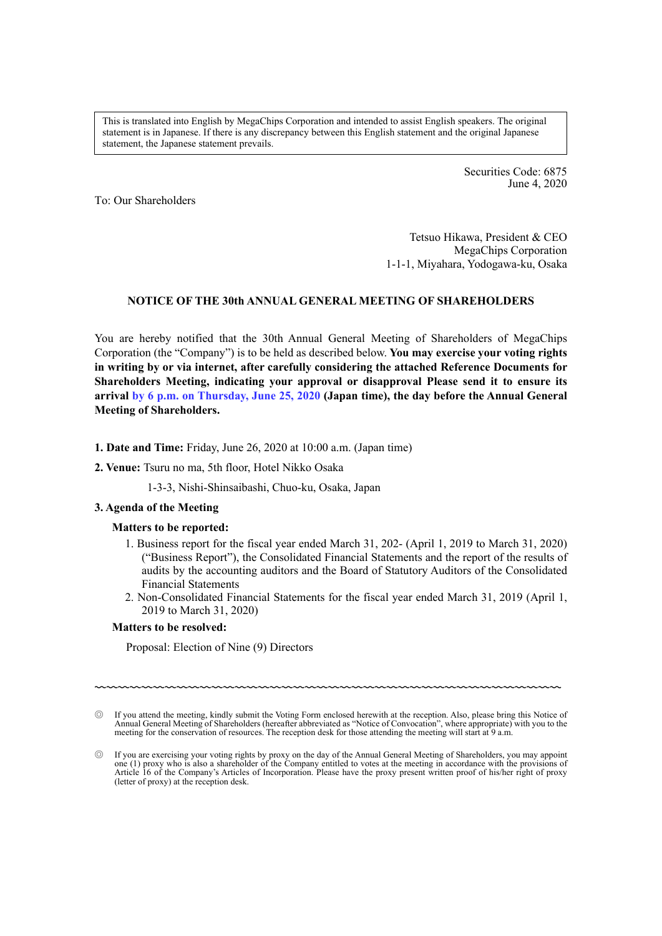This is translated into English by MegaChips Corporation and intended to assist English speakers. The original statement is in Japanese. If there is any discrepancy between this English statement and the original Japanese statement, the Japanese statement prevails.

> Securities Code: 6875 June 4, 2020

To: Our Shareholders

Tetsuo Hikawa, President & CEO MegaChips Corporation 1-1-1, Miyahara, Yodogawa-ku, Osaka

# **NOTICE OF THE 30th ANNUAL GENERAL MEETING OF SHAREHOLDERS**

You are hereby notified that the 30th Annual General Meeting of Shareholders of MegaChips Corporation (the "Company") is to be held as described below. **You may exercise your voting rights in writing by or via internet, after carefully considering the attached Reference Documents for Shareholders Meeting, indicating your approval or disapproval Please send it to ensure its arrival by 6 p.m. on Thursday, June 25, 2020 (Japan time), the day before the Annual General Meeting of Shareholders.** 

- **1. Date and Time:** Friday, June 26, 2020 at 10:00 a.m. (Japan time)
- **2. Venue:** Tsuru no ma, 5th floor, Hotel Nikko Osaka
	- 1-3-3, Nishi-Shinsaibashi, Chuo-ku, Osaka, Japan

# **3. Agenda of the Meeting**

# **Matters to be reported:**

- 1. Business report for the fiscal year ended March 31, 202- (April 1, 2019 to March 31, 2020) ("Business Report"), the Consolidated Financial Statements and the report of the results of audits by the accounting auditors and the Board of Statutory Auditors of the Consolidated Financial Statements
- 2. Non-Consolidated Financial Statements for the fiscal year ended March 31, 2019 (April 1, 2019 to March 31, 2020)

# **Matters to be resolved:**

Proposal: Election of Nine (9) Directors

〰〰〰〰〰〰〰〰〰〰〰〰〰〰〰〰〰〰〰〰〰〰〰〰〰〰〰〰〰〰〰〰〰〰〰〰〰〰〰〰

<sup>◎</sup> If you attend the meeting, kindly submit the Voting Form enclosed herewith at the reception. Also, please bring this Notice of Annual General Meeting of Shareholders (hereafter abbreviated as "Notice of Convocation", where appropriate) with you to the meeting for the conservation of resources. The reception desk for those attending the meeting will start at 9 a.m.

<sup>◎</sup> If you are exercising your voting rights by proxy on the day of the Annual General Meeting of Shareholders, you may appoint one (1) proxy who is also a shareholder of the Company entitled to votes at the meeting in accordance with the provisions of Article 16 of the Company's Articles of Incorporation. Please have the proxy present written proof of his/her right of proxy (letter of proxy) at the reception desk.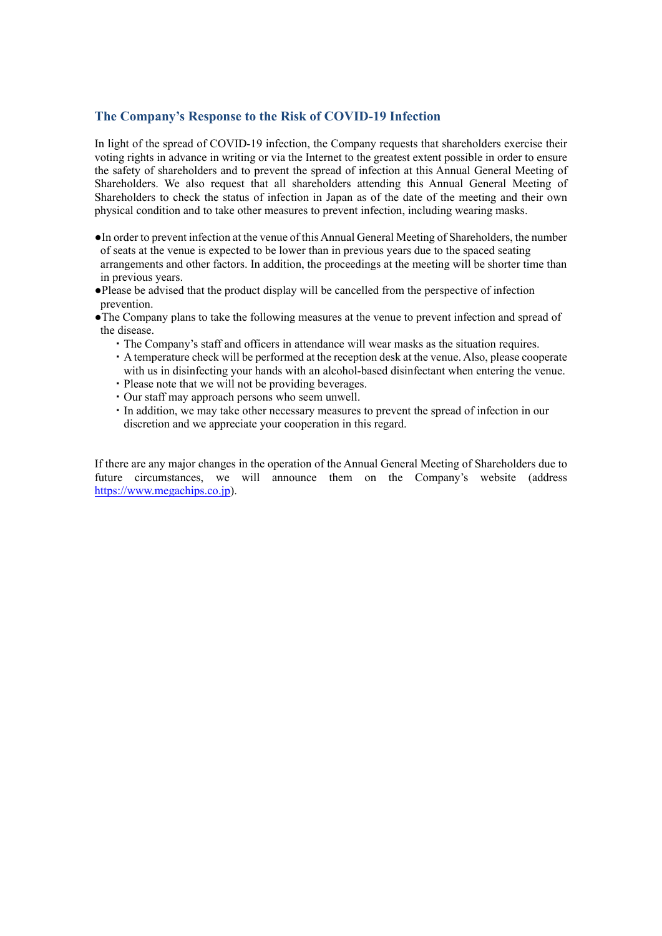# **The Company's Response to the Risk of COVID-19 Infection**

In light of the spread of COVID-19 infection, the Company requests that shareholders exercise their voting rights in advance in writing or via the Internet to the greatest extent possible in order to ensure the safety of shareholders and to prevent the spread of infection at this Annual General Meeting of Shareholders. We also request that all shareholders attending this Annual General Meeting of Shareholders to check the status of infection in Japan as of the date of the meeting and their own physical condition and to take other measures to prevent infection, including wearing masks.

- ●In order to prevent infection at the venue of this Annual General Meeting of Shareholders, the number of seats at the venue is expected to be lower than in previous years due to the spaced seating arrangements and other factors. In addition, the proceedings at the meeting will be shorter time than in previous years.
- ●Please be advised that the product display will be cancelled from the perspective of infection prevention.
- ●The Company plans to take the following measures at the venue to prevent infection and spread of the disease.
	- ・The Company's staff and officers in attendance will wear masks as the situation requires.
	- ・A temperature check will be performed at the reception desk at the venue. Also, please cooperate with us in disinfecting your hands with an alcohol-based disinfectant when entering the venue.
	- ・Please note that we will not be providing beverages.
	- ・Our staff may approach persons who seem unwell.
	- ・In addition, we may take other necessary measures to prevent the spread of infection in our discretion and we appreciate your cooperation in this regard.

If there are any major changes in the operation of the Annual General Meeting of Shareholders due to future circumstances, we will announce them on the Company's website (address https://www.megachips.co.jp).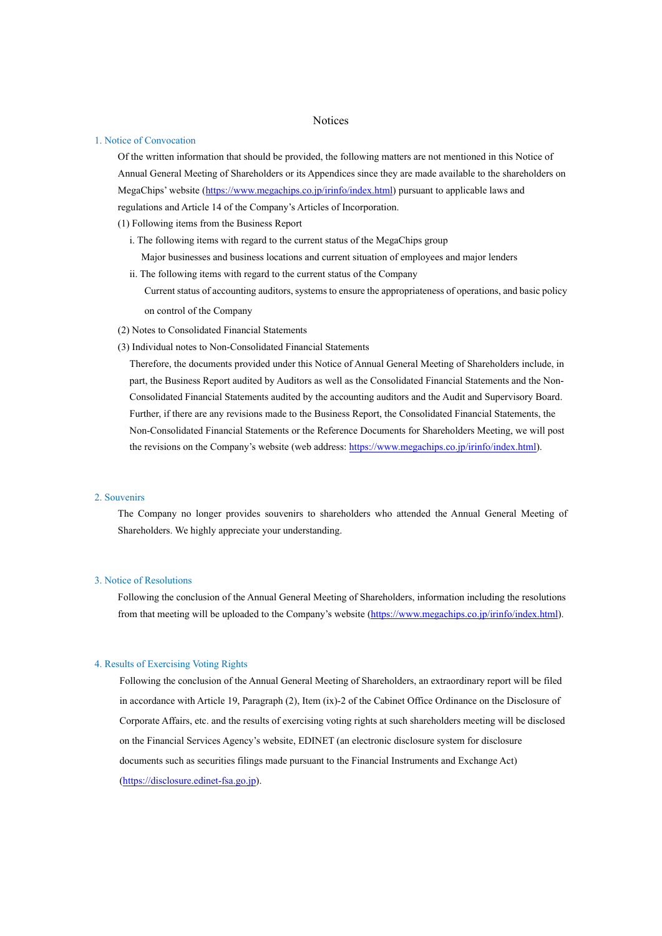## **Notices**

## 1. Notice of Convocation

Of the written information that should be provided, the following matters are not mentioned in this Notice of Annual General Meeting of Shareholders or its Appendices since they are made available to the shareholders on MegaChips' website (https://www.megachips.co.jp/irinfo/index.html) pursuant to applicable laws and regulations and Article 14 of the Company's Articles of Incorporation.

- (1) Following items from the Business Report
	- i. The following items with regard to the current status of the MegaChips group

Major businesses and business locations and current situation of employees and major lenders

ii. The following items with regard to the current status of the Company

Current status of accounting auditors, systems to ensure the appropriateness of operations, and basic policy on control of the Company

- (2) Notes to Consolidated Financial Statements
- (3) Individual notes to Non-Consolidated Financial Statements

Therefore, the documents provided under this Notice of Annual General Meeting of Shareholders include, in part, the Business Report audited by Auditors as well as the Consolidated Financial Statements and the Non-Consolidated Financial Statements audited by the accounting auditors and the Audit and Supervisory Board. Further, if there are any revisions made to the Business Report, the Consolidated Financial Statements, the Non-Consolidated Financial Statements or the Reference Documents for Shareholders Meeting, we will post the revisions on the Company's website (web address: https://www.megachips.co.jp/irinfo/index.html).

## 2. Souvenirs

The Company no longer provides souvenirs to shareholders who attended the Annual General Meeting of Shareholders. We highly appreciate your understanding.

#### 3. Notice of Resolutions

Following the conclusion of the Annual General Meeting of Shareholders, information including the resolutions from that meeting will be uploaded to the Company's website (https://www.megachips.co.jp/irinfo/index.html).

## 4. Results of Exercising Voting Rights

Following the conclusion of the Annual General Meeting of Shareholders, an extraordinary report will be filed in accordance with Article 19, Paragraph (2), Item (ix)-2 of the Cabinet Office Ordinance on the Disclosure of Corporate Affairs, etc. and the results of exercising voting rights at such shareholders meeting will be disclosed on the Financial Services Agency's website, EDINET (an electronic disclosure system for disclosure documents such as securities filings made pursuant to the Financial Instruments and Exchange Act) (https://disclosure.edinet-fsa.go.jp).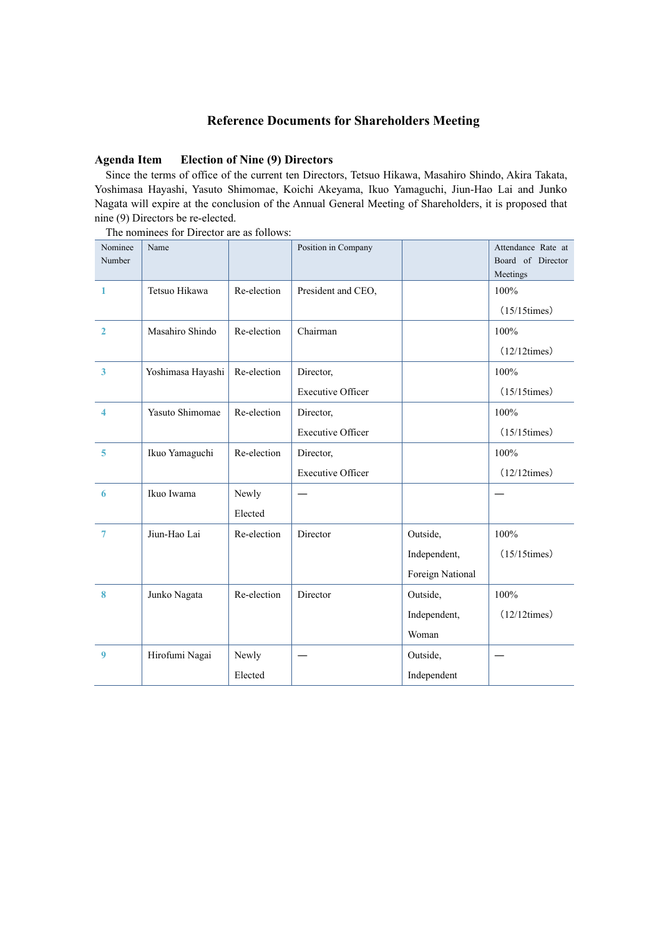# **Reference Documents for Shareholders Meeting**

# **Agenda Item Election of Nine (9) Directors**

Since the terms of office of the current ten Directors, Tetsuo Hikawa, Masahiro Shindo, Akira Takata, Yoshimasa Hayashi, Yasuto Shimomae, Koichi Akeyama, Ikuo Yamaguchi, Jiun-Hao Lai and Junko Nagata will expire at the conclusion of the Annual General Meeting of Shareholders, it is proposed that nine (9) Directors be re-elected.

|  | The nominees for Director are as follows: |
|--|-------------------------------------------|
|  |                                           |

| Nominee<br>Number       | Name              |             | Position in Company      |                  | Attendance Rate at<br>Board of Director<br>Meetings |
|-------------------------|-------------------|-------------|--------------------------|------------------|-----------------------------------------------------|
| 1                       | Tetsuo Hikawa     | Re-election | President and CEO,       |                  | 100%                                                |
|                         |                   |             |                          |                  | $(15/15$ times)                                     |
| $\overline{2}$          | Masahiro Shindo   | Re-election | Chairman                 |                  | 100%                                                |
|                         |                   |             |                          |                  | $(12/12$ times)                                     |
| $\overline{\mathbf{3}}$ | Yoshimasa Hayashi | Re-election | Director,                |                  | 100%                                                |
|                         |                   |             | <b>Executive Officer</b> |                  | $(15/15$ times)                                     |
| $\blacktriangle$        | Yasuto Shimomae   | Re-election | Director,                |                  | 100%                                                |
|                         |                   |             | <b>Executive Officer</b> |                  | $(15/15$ times)                                     |
| $\overline{5}$          | Ikuo Yamaguchi    | Re-election | Director,                |                  | 100%                                                |
|                         |                   |             | <b>Executive Officer</b> |                  | $(12/12 \text{times})$                              |
| 6                       | Ikuo Iwama        | Newly       |                          |                  |                                                     |
|                         |                   | Elected     |                          |                  |                                                     |
| $\overline{7}$          | Jiun-Hao Lai      | Re-election | Director                 | Outside,         | 100%                                                |
|                         |                   |             |                          | Independent,     | $(15/15$ times)                                     |
|                         |                   |             |                          | Foreign National |                                                     |
| 8                       | Junko Nagata      | Re-election | Director                 | Outside,         | 100%                                                |
|                         |                   |             |                          | Independent,     | $(12/12$ times)                                     |
|                         |                   |             |                          | Woman            |                                                     |
| 9                       | Hirofumi Nagai    | Newly       |                          | Outside,         |                                                     |
|                         |                   | Elected     |                          | Independent      |                                                     |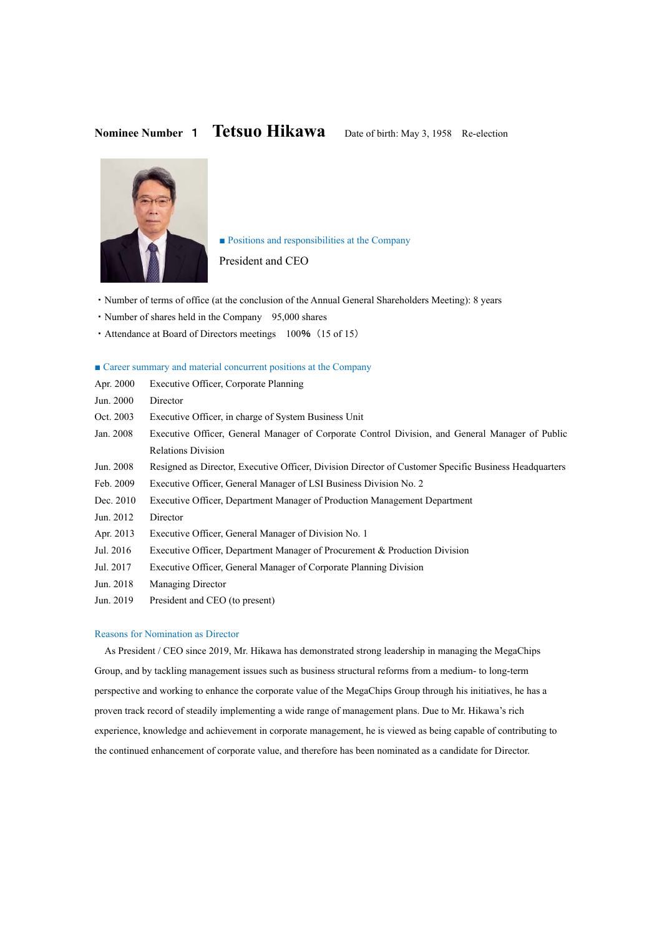# **Nominee Number 1 Tetsuo Hikawa** Date of birth: May 3, 1958 Re-election



■ Positions and responsibilities at the Company

President and CEO

- ・Number of terms of office (at the conclusion of the Annual General Shareholders Meeting): 8 years
- ・Number of shares held in the Company 95,000 shares
- Attendance at Board of Directors meetings 100% (15 of 15)

## ■ Career summary and material concurrent positions at the Company

| Apr. 2000 | Executive Officer, Corporate Planning                                                                 |
|-----------|-------------------------------------------------------------------------------------------------------|
| Jun. 2000 | Director                                                                                              |
| Oct. 2003 | Executive Officer, in charge of System Business Unit                                                  |
| Jan. 2008 | Executive Officer, General Manager of Corporate Control Division, and General Manager of Public       |
|           | <b>Relations Division</b>                                                                             |
| Jun. 2008 | Resigned as Director, Executive Officer, Division Director of Customer Specific Business Headquarters |
| Feb. 2009 | Executive Officer, General Manager of LSI Business Division No. 2                                     |
| Dec. 2010 | <b>Executive Officer, Department Manager of Production Management Department</b>                      |
| Jun. 2012 | Director                                                                                              |
| Apr. 2013 | Executive Officer, General Manager of Division No. 1                                                  |
| Jul. 2016 | Executive Officer, Department Manager of Procurement & Production Division                            |
| Jul. 2017 | Executive Officer, General Manager of Corporate Planning Division                                     |
| Jun. 2018 | Managing Director                                                                                     |

Jun. 2019 President and CEO (to present)

## Reasons for Nomination as Director

As President / CEO since 2019, Mr. Hikawa has demonstrated strong leadership in managing the MegaChips Group, and by tackling management issues such as business structural reforms from a medium- to long-term perspective and working to enhance the corporate value of the MegaChips Group through his initiatives, he has a proven track record of steadily implementing a wide range of management plans. Due to Mr. Hikawa's rich experience, knowledge and achievement in corporate management, he is viewed as being capable of contributing to the continued enhancement of corporate value, and therefore has been nominated as a candidate for Director.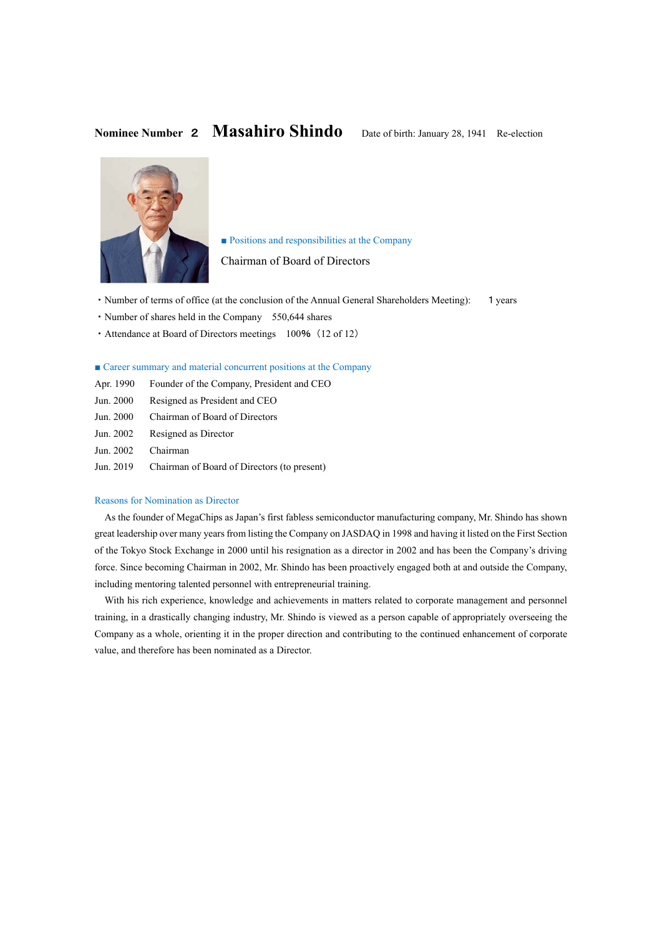# **Nominee Number** <sup>2</sup>**Masahiro Shindo** Date of birth: January 28, 1941 Re-election



■ Positions and responsibilities at the Company

Chairman of Board of Directors

- ・Number of terms of office (at the conclusion of the Annual General Shareholders Meeting): 1years
- ・Number of shares held in the Company 550,644 shares
- Attendance at Board of Directors meetings 100% (12 of 12)

## ■ Career summary and material concurrent positions at the Company

- Apr. 1990 Founder of the Company, President and CEO
- Jun. 2000 Resigned as President and CEO
- Jun. 2000 Chairman of Board of Directors
- Jun. 2002 Resigned as Director
- Jun. 2002 Chairman
- Jun. 2019 Chairman of Board of Directors (to present)

#### Reasons for Nomination as Director

As the founder of MegaChips as Japan's first fabless semiconductor manufacturing company, Mr. Shindo has shown great leadership over many years from listing the Company on JASDAQ in 1998 and having it listed on the First Section of the Tokyo Stock Exchange in 2000 until his resignation as a director in 2002 and has been the Company's driving force. Since becoming Chairman in 2002, Mr. Shindo has been proactively engaged both at and outside the Company, including mentoring talented personnel with entrepreneurial training.

With his rich experience, knowledge and achievements in matters related to corporate management and personnel training, in a drastically changing industry, Mr. Shindo is viewed as a person capable of appropriately overseeing the Company as a whole, orienting it in the proper direction and contributing to the continued enhancement of corporate value, and therefore has been nominated as a Director.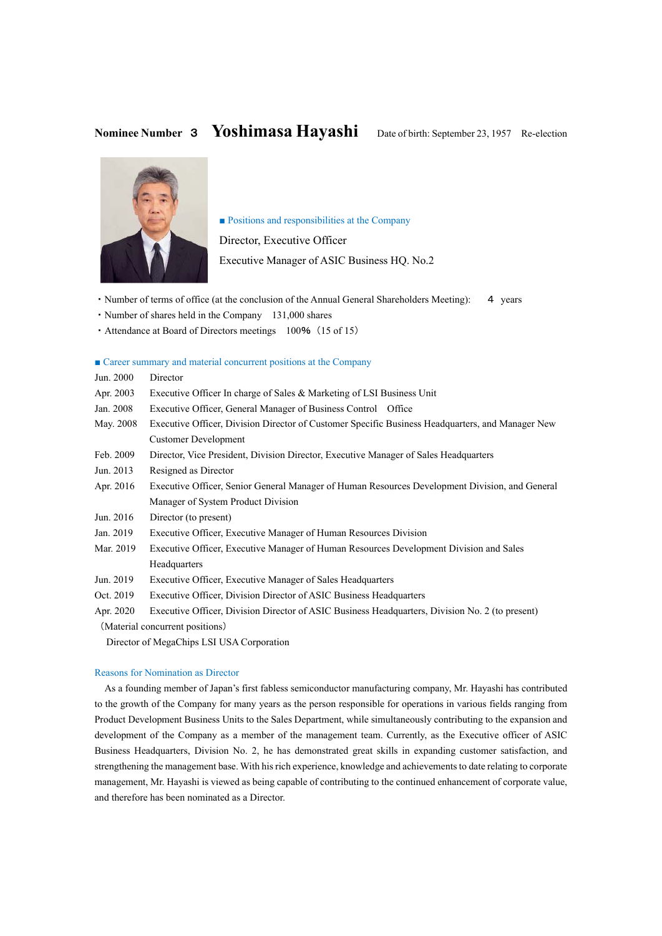# **Nominee Number** <sup>3</sup>**Yoshimasa Hayashi** Date of birth: September 23, 1957 Re-election



■ Positions and responsibilities at the Company

Director, Executive Officer

Executive Manager of ASIC Business HQ. No.2

- ・Number of terms of office (at the conclusion of the Annual General Shareholders Meeting): 4 years
- ・Number of shares held in the Company 131,000 shares
- Attendance at Board of Directors meetings 100% (15 of 15)

## ■ Career summary and material concurrent positions at the Company

| Jun. 2000 | Director                                                                                         |
|-----------|--------------------------------------------------------------------------------------------------|
| Apr. 2003 | Executive Officer In charge of Sales & Marketing of LSI Business Unit                            |
| Jan. 2008 | Executive Officer, General Manager of Business Control Office                                    |
| May. 2008 | Executive Officer, Division Director of Customer Specific Business Headquarters, and Manager New |
|           | <b>Customer Development</b>                                                                      |
| Feb. 2009 | Director, Vice President, Division Director, Executive Manager of Sales Headquarters             |
| Jun. 2013 | Resigned as Director                                                                             |
| Apr. 2016 | Executive Officer, Senior General Manager of Human Resources Development Division, and General   |
|           | Manager of System Product Division                                                               |
| Jun. 2016 | Director (to present)                                                                            |
| Jan. 2019 | Executive Officer, Executive Manager of Human Resources Division                                 |
| Mar. 2019 | Executive Officer, Executive Manager of Human Resources Development Division and Sales           |
|           | Headquarters                                                                                     |
| Jun. 2019 | Executive Officer, Executive Manager of Sales Headquarters                                       |
| Oct. 2019 | Executive Officer, Division Director of ASIC Business Headquarters                               |
| Apr. 2020 | Executive Officer, Division Director of ASIC Business Headquarters, Division No. 2 (to present)  |
|           |                                                                                                  |

(Material concurrent positions)

Director of MegaChips LSI USA Corporation

#### Reasons for Nomination as Director

As a founding member of Japan's first fabless semiconductor manufacturing company, Mr. Hayashi has contributed to the growth of the Company for many years as the person responsible for operations in various fields ranging from Product Development Business Units to the Sales Department, while simultaneously contributing to the expansion and development of the Company as a member of the management team. Currently, as the Executive officer of ASIC Business Headquarters, Division No. 2, he has demonstrated great skills in expanding customer satisfaction, and strengthening the management base. With his rich experience, knowledge and achievements to date relating to corporate management, Mr. Hayashi is viewed as being capable of contributing to the continued enhancement of corporate value, and therefore has been nominated as a Director.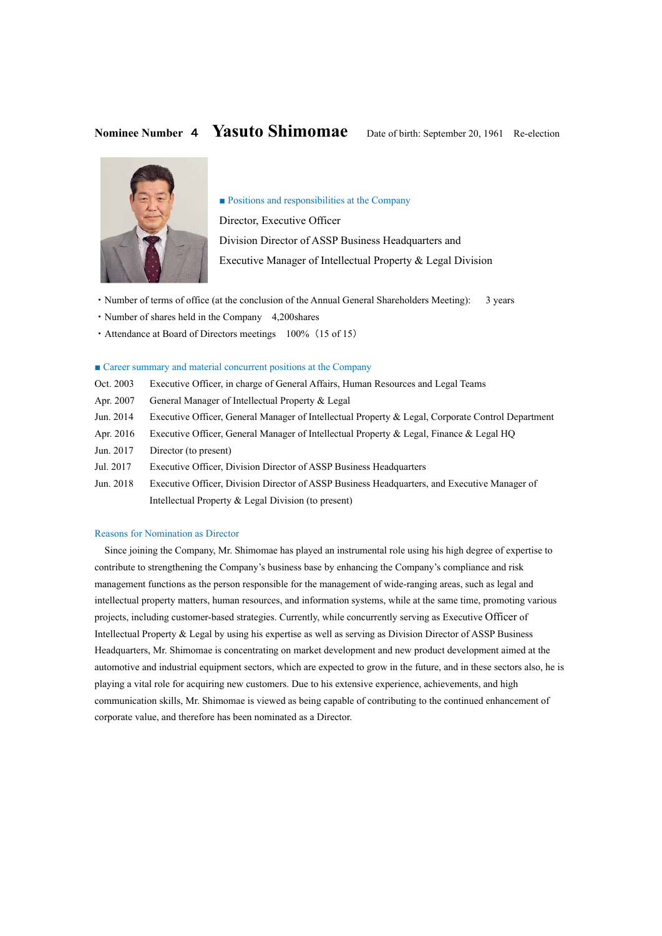# **Nominee Number** <sup>4</sup>**Yasuto Shimomae** Date of birth: September 20, 1961 Re-election



## ■ Positions and responsibilities at the Company

Director, Executive Officer Division Director of ASSP Business Headquarters and Executive Manager of Intellectual Property & Legal Division

- ・Number of terms of office (at the conclusion of the Annual General Shareholders Meeting): 3 years
- ・Number of shares held in the Company 4,200shares
- Attendance at Board of Directors meetings 100% (15 of 15)

## ■ Career summary and material concurrent positions at the Company

- Oct. 2003 Executive Officer, in charge of General Affairs, Human Resources and Legal Teams
- Apr. 2007 General Manager of Intellectual Property & Legal
- Jun. 2014 Executive Officer, General Manager of Intellectual Property & Legal, Corporate Control Department
- Apr. 2016 Executive Officer, General Manager of Intellectual Property & Legal, Finance & Legal HQ
- Jun. 2017 Director (to present)
- Jul. 2017 Executive Officer, Division Director of ASSP Business Headquarters
- Jun. 2018 Executive Officer, Division Director of ASSP Business Headquarters, and Executive Manager of Intellectual Property & Legal Division (to present)

## Reasons for Nomination as Director

Since joining the Company, Mr. Shimomae has played an instrumental role using his high degree of expertise to contribute to strengthening the Company's business base by enhancing the Company's compliance and risk management functions as the person responsible for the management of wide-ranging areas, such as legal and intellectual property matters, human resources, and information systems, while at the same time, promoting various projects, including customer-based strategies. Currently, while concurrently serving as Executive Officer of Intellectual Property & Legal by using his expertise as well as serving as Division Director of ASSP Business Headquarters, Mr. Shimomae is concentrating on market development and new product development aimed at the automotive and industrial equipment sectors, which are expected to grow in the future, and in these sectors also, he is playing a vital role for acquiring new customers. Due to his extensive experience, achievements, and high communication skills, Mr. Shimomae is viewed as being capable of contributing to the continued enhancement of corporate value, and therefore has been nominated as a Director.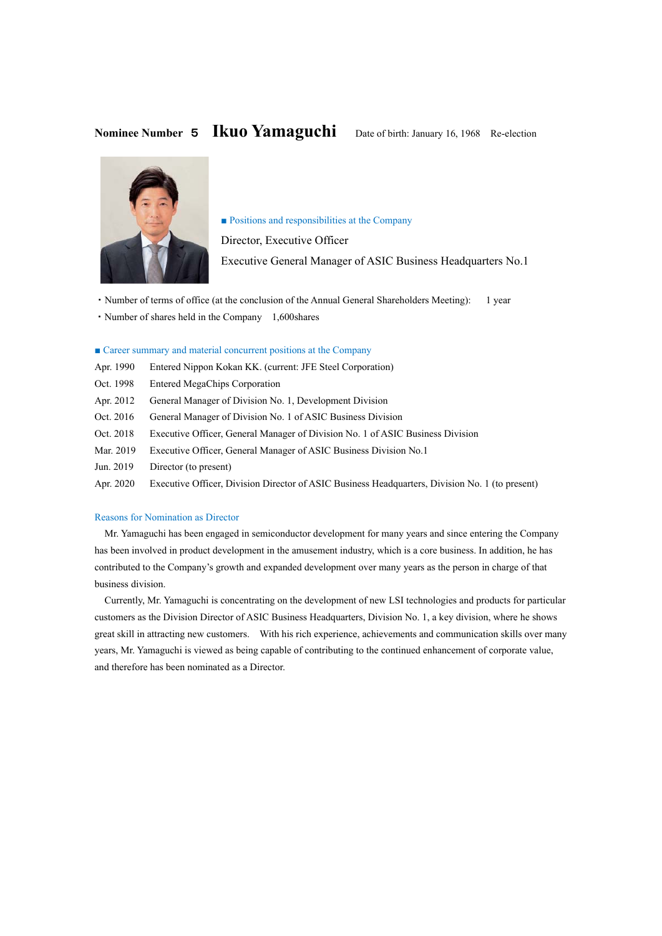# Nominee Number **5** Ikuo Yamaguchi Date of birth: January 16, 1968 Re-election



■ Positions and responsibilities at the Company

Director, Executive Officer Executive General Manager of ASIC Business Headquarters No.1

- ・Number of terms of office (at the conclusion of the Annual General Shareholders Meeting): 1 year
- ・Number of shares held in the Company 1,600shares

#### ■ Career summary and material concurrent positions at the Company

- Apr. 1990 Entered Nippon Kokan KK. (current: JFE Steel Corporation)
- Oct. 1998 Entered MegaChips Corporation
- Apr. 2012 General Manager of Division No. 1, Development Division
- Oct. 2016 General Manager of Division No. 1 of ASIC Business Division
- Oct. 2018 Executive Officer, General Manager of Division No. 1 of ASIC Business Division
- Mar. 2019 Executive Officer, General Manager of ASIC Business Division No.1
- Jun. 2019 Director (to present)
- Apr. 2020 Executive Officer, Division Director of ASIC Business Headquarters, Division No. 1 (to present)

## Reasons for Nomination as Director

Mr. Yamaguchi has been engaged in semiconductor development for many years and since entering the Company has been involved in product development in the amusement industry, which is a core business. In addition, he has contributed to the Company's growth and expanded development over many years as the person in charge of that business division.

Currently, Mr. Yamaguchi is concentrating on the development of new LSI technologies and products for particular customers as the Division Director of ASIC Business Headquarters, Division No. 1, a key division, where he shows great skill in attracting new customers. With his rich experience, achievements and communication skills over many years, Mr. Yamaguchi is viewed as being capable of contributing to the continued enhancement of corporate value, and therefore has been nominated as a Director.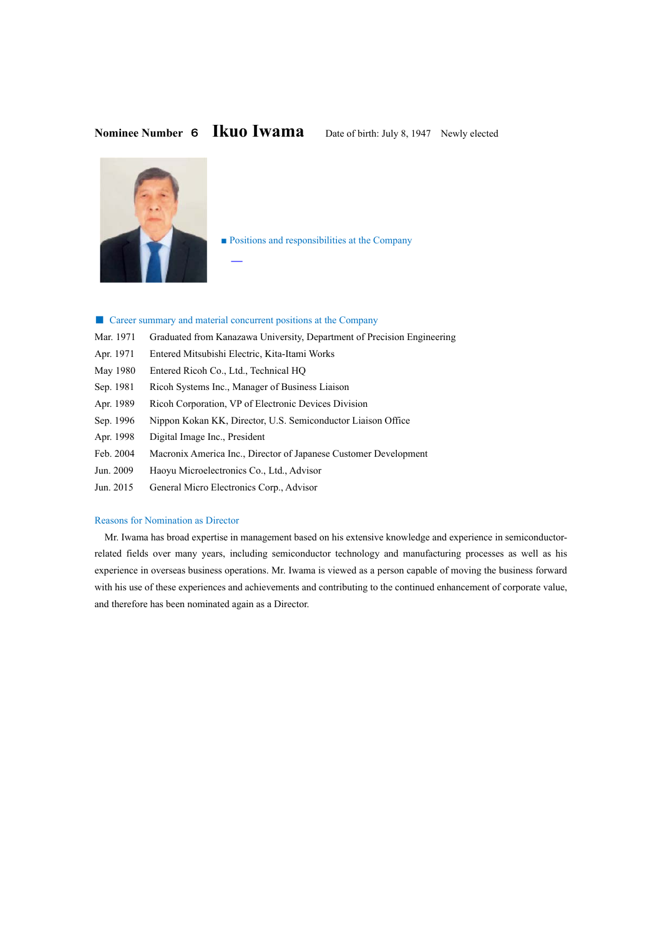**Nominee Number** <sup>6</sup>**Ikuo Iwama** Date of birth: July 8, 1947 Newly elected



■ Positions and responsibilities at the Company

#### ■ Career summary and material concurrent positions at the Company

―

- Mar. 1971 Graduated from Kanazawa University, Department of Precision Engineering
- Apr. 1971 Entered Mitsubishi Electric, Kita-Itami Works
- May 1980 Entered Ricoh Co., Ltd., Technical HQ
- Sep. 1981 Ricoh Systems Inc., Manager of Business Liaison
- Apr. 1989 Ricoh Corporation, VP of Electronic Devices Division
- Sep. 1996 Nippon Kokan KK, Director, U.S. Semiconductor Liaison Office
- Apr. 1998 Digital Image Inc., President
- Feb. 2004 Macronix America Inc., Director of Japanese Customer Development
- Jun. 2009 Haoyu Microelectronics Co., Ltd., Advisor
- Jun. 2015 General Micro Electronics Corp., Advisor

#### Reasons for Nomination as Director

Mr. Iwama has broad expertise in management based on his extensive knowledge and experience in semiconductorrelated fields over many years, including semiconductor technology and manufacturing processes as well as his experience in overseas business operations. Mr. Iwama is viewed as a person capable of moving the business forward with his use of these experiences and achievements and contributing to the continued enhancement of corporate value, and therefore has been nominated again as a Director.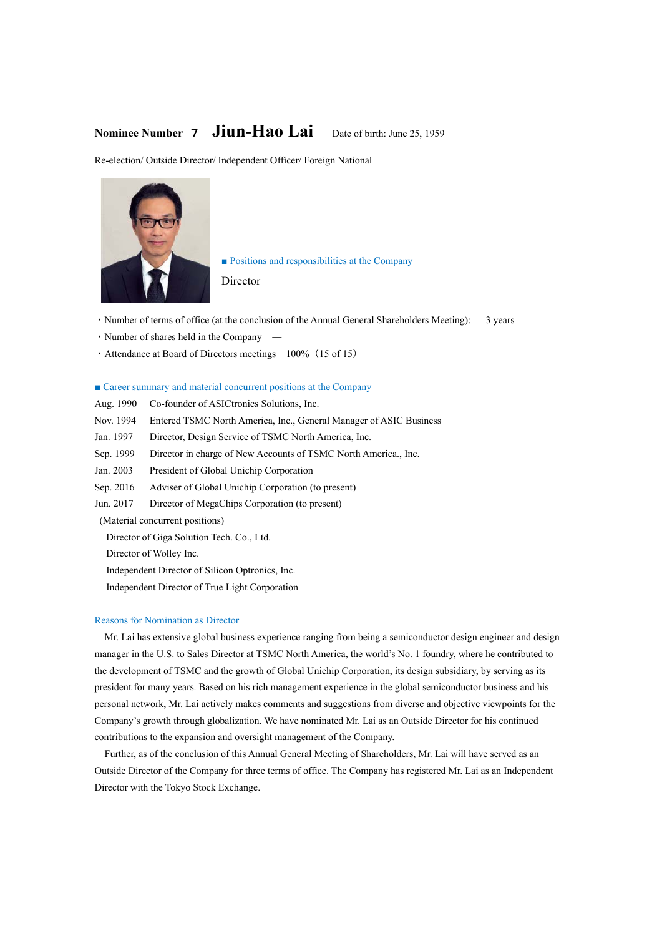# **Nominee Number 7 Jiun-Hao Lai** Date of birth: June 25, 1959

Re-election/ Outside Director/ Independent Officer/ Foreign National



■ Positions and responsibilities at the Company

Director

- ・Number of terms of office (at the conclusion of the Annual General Shareholders Meeting): 3 years
- ・Number of shares held in the Company ―
- Attendance at Board of Directors meetings 100% (15 of 15)

#### ■ Career summary and material concurrent positions at the Company

- Aug. 1990 Co-founder of ASICtronics Solutions, Inc.
- Nov. 1994 Entered TSMC North America, Inc., General Manager of ASIC Business
- Jan. 1997 Director, Design Service of TSMC North America, Inc.
- Sep. 1999 Director in charge of New Accounts of TSMC North America., Inc.
- Jan. 2003 President of Global Unichip Corporation
- Sep. 2016 Adviser of Global Unichip Corporation (to present)
- Jun. 2017 Director of MegaChips Corporation (to present)
- (Material concurrent positions)

Director of Giga Solution Tech. Co., Ltd.

Director of Wolley Inc.

Independent Director of Silicon Optronics, Inc.

Independent Director of True Light Corporation

#### Reasons for Nomination as Director

Mr. Lai has extensive global business experience ranging from being a semiconductor design engineer and design manager in the U.S. to Sales Director at TSMC North America, the world's No. 1 foundry, where he contributed to the development of TSMC and the growth of Global Unichip Corporation, its design subsidiary, by serving as its president for many years. Based on his rich management experience in the global semiconductor business and his personal network, Mr. Lai actively makes comments and suggestions from diverse and objective viewpoints for the Company's growth through globalization. We have nominated Mr. Lai as an Outside Director for his continued contributions to the expansion and oversight management of the Company.

Further, as of the conclusion of this Annual General Meeting of Shareholders, Mr. Lai will have served as an Outside Director of the Company for three terms of office. The Company has registered Mr. Lai as an Independent Director with the Tokyo Stock Exchange.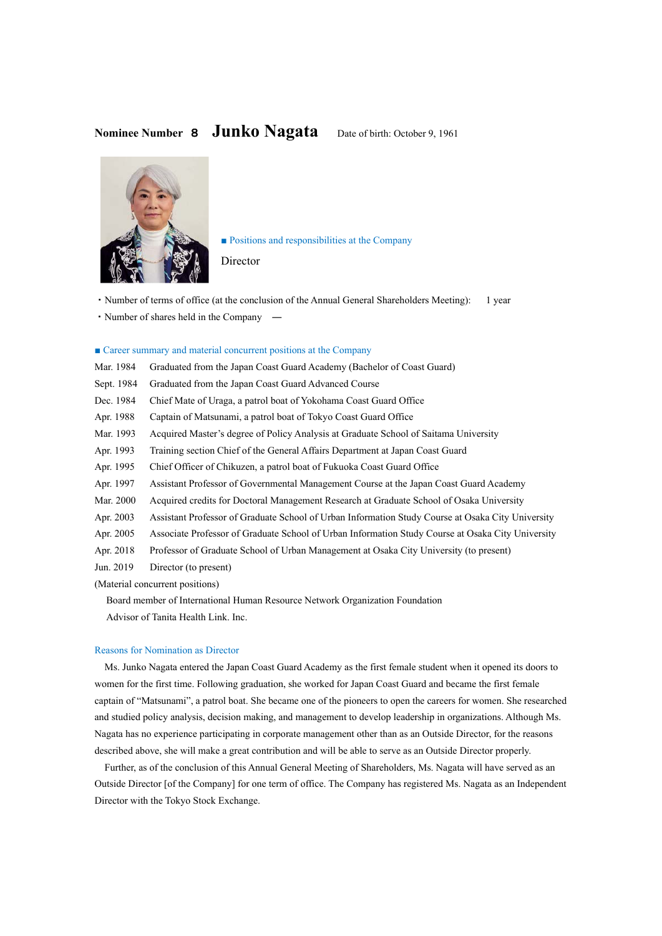# **Nominee Number 8 Junko Nagata** Date of birth: October 9, 1961





■ Positions and responsibilities at the Company

Director

- ・Number of terms of office (at the conclusion of the Annual General Shareholders Meeting): 1 year
- ・Number of shares held in the Company ―

## ■ Career summary and material concurrent positions at the Company

- Mar. 1984 Graduated from the Japan Coast Guard Academy (Bachelor of Coast Guard)
- Sept. 1984 Graduated from the Japan Coast Guard Advanced Course
- Dec. 1984 Chief Mate of Uraga, a patrol boat of Yokohama Coast Guard Office
- Apr. 1988 Captain of Matsunami, a patrol boat of Tokyo Coast Guard Office
- Mar. 1993 Acquired Master's degree of Policy Analysis at Graduate School of Saitama University
- Apr. 1993 Training section Chief of the General Affairs Department at Japan Coast Guard
- Apr. 1995 Chief Officer of Chikuzen, a patrol boat of Fukuoka Coast Guard Office
- Apr. 1997 Assistant Professor of Governmental Management Course at the Japan Coast Guard Academy
- Mar. 2000 Acquired credits for Doctoral Management Research at Graduate School of Osaka University
- Apr. 2003 Assistant Professor of Graduate School of Urban Information Study Course at Osaka City University
- Apr. 2005 Associate Professor of Graduate School of Urban Information Study Course at Osaka City University
- Apr. 2018 Professor of Graduate School of Urban Management at Osaka City University (to present)
- Jun. 2019 Director (to present)

(Material concurrent positions)

Board member of International Human Resource Network Organization Foundation Advisor of Tanita Health Link. Inc.

#### Reasons for Nomination as Director

Ms. Junko Nagata entered the Japan Coast Guard Academy as the first female student when it opened its doors to women for the first time. Following graduation, she worked for Japan Coast Guard and became the first female captain of "Matsunami", a patrol boat. She became one of the pioneers to open the careers for women. She researched and studied policy analysis, decision making, and management to develop leadership in organizations. Although Ms. Nagata has no experience participating in corporate management other than as an Outside Director, for the reasons described above, she will make a great contribution and will be able to serve as an Outside Director properly.

Further, as of the conclusion of this Annual General Meeting of Shareholders, Ms. Nagata will have served as an Outside Director [of the Company] for one term of office. The Company has registered Ms. Nagata as an Independent Director with the Tokyo Stock Exchange.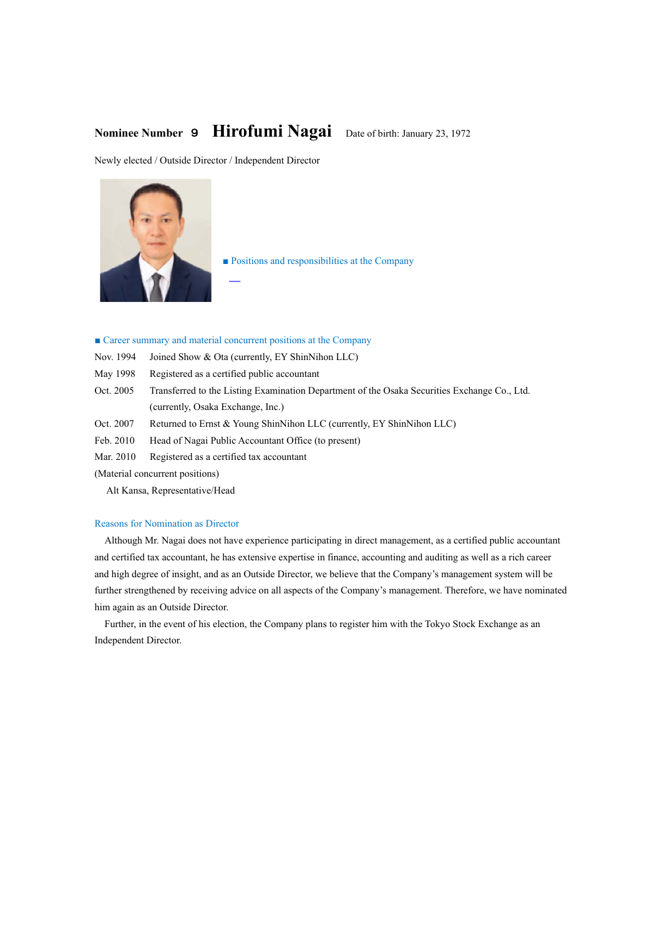# **Nominee Number** <sup>9</sup>**Hirofumi Nagai** Date of birth: January 23, 1972

Newly elected / Outside Director / Independent Director



■ Positions and responsibilities at the Company

■ Career summary and material concurrent positions at the Company

―

Nov. 1994 Joined Show & Ota (currently, EY ShinNihon LLC)

May 1998 Registered as a certified public accountant

- Oct. 2005 Transferred to the Listing Examination Department of the Osaka Securities Exchange Co., Ltd. (currently, Osaka Exchange, Inc.)
- Oct. 2007 Returned to Ernst & Young ShinNihon LLC (currently, EY ShinNihon LLC)

Feb. 2010 Head of Nagai Public Accountant Office (to present)

Mar. 2010 Registered as a certified tax accountant

(Material concurrent positions)

Alt Kansa, Representative/Head

## Reasons for Nomination as Director

Although Mr. Nagai does not have experience participating in direct management, as a certified public accountant and certified tax accountant, he has extensive expertise in finance, accounting and auditing as well as a rich career and high degree of insight, and as an Outside Director, we believe that the Company's management system will be further strengthened by receiving advice on all aspects of the Company's management. Therefore, we have nominated him again as an Outside Director.

Further, in the event of his election, the Company plans to register him with the Tokyo Stock Exchange as an Independent Director.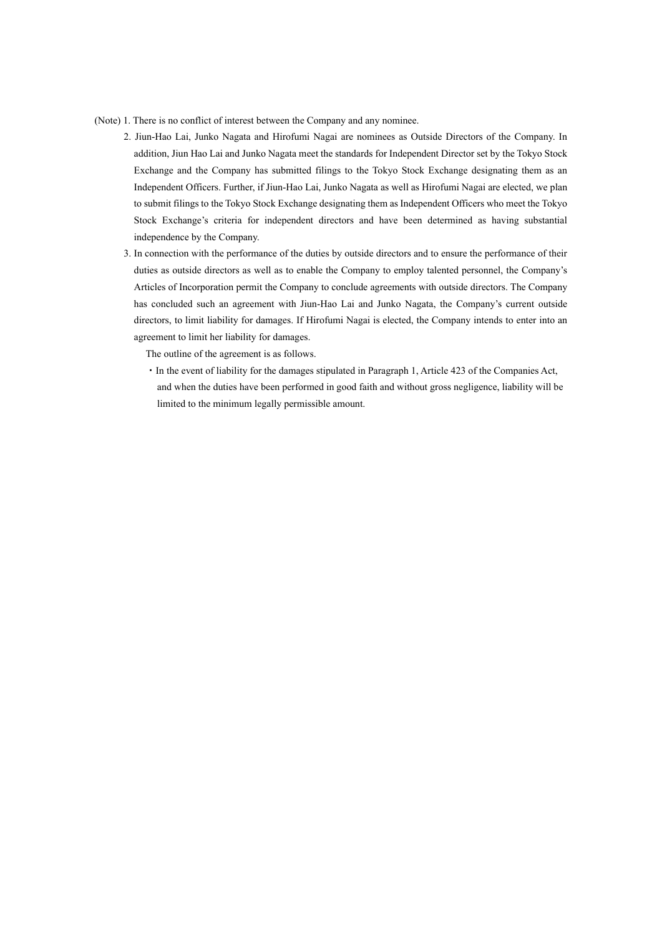- (Note) 1. There is no conflict of interest between the Company and any nominee.
	- 2. Jiun-Hao Lai, Junko Nagata and Hirofumi Nagai are nominees as Outside Directors of the Company. In addition, Jiun Hao Lai and Junko Nagata meet the standards for Independent Director set by the Tokyo Stock Exchange and the Company has submitted filings to the Tokyo Stock Exchange designating them as an Independent Officers. Further, if Jiun-Hao Lai, Junko Nagata as well as Hirofumi Nagai are elected, we plan to submit filings to the Tokyo Stock Exchange designating them as Independent Officers who meet the Tokyo Stock Exchange's criteria for independent directors and have been determined as having substantial independence by the Company.
	- 3. In connection with the performance of the duties by outside directors and to ensure the performance of their duties as outside directors as well as to enable the Company to employ talented personnel, the Company's Articles of Incorporation permit the Company to conclude agreements with outside directors. The Company has concluded such an agreement with Jiun-Hao Lai and Junko Nagata, the Company's current outside directors, to limit liability for damages. If Hirofumi Nagai is elected, the Company intends to enter into an agreement to limit her liability for damages.

The outline of the agreement is as follows.

・In the event of liability for the damages stipulated in Paragraph 1, Article 423 of the Companies Act, and when the duties have been performed in good faith and without gross negligence, liability will be limited to the minimum legally permissible amount.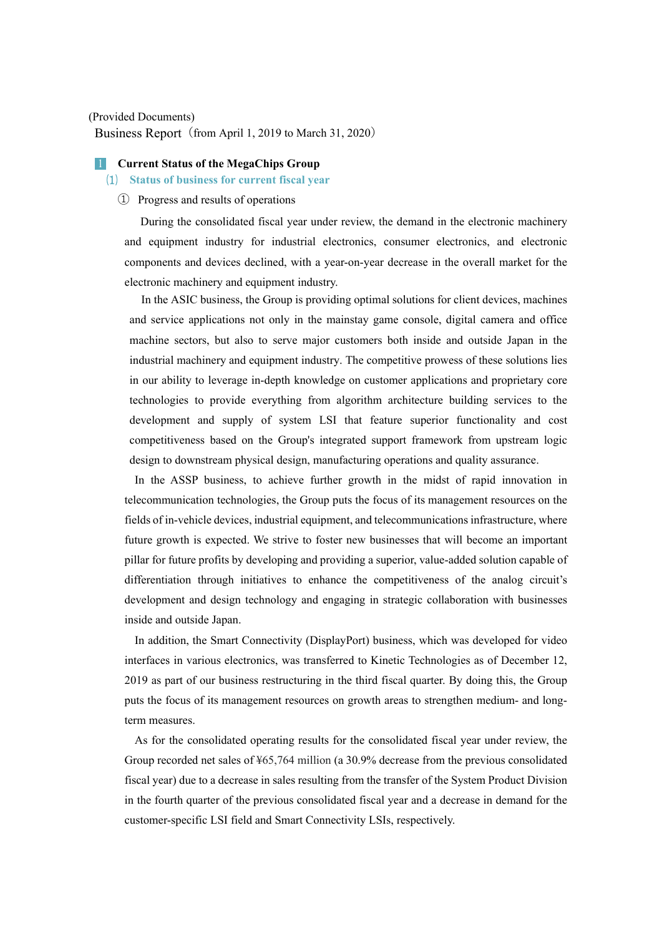# (Provided Documents)

Business Report (from April 1, 2019 to March 31, 2020)

# 1 **Current Status of the MegaChips Group**

# ⑴ **Status of business for current fiscal year**

① Progress and results of operations

 During the consolidated fiscal year under review, the demand in the electronic machinery and equipment industry for industrial electronics, consumer electronics, and electronic components and devices declined, with a year-on-year decrease in the overall market for the electronic machinery and equipment industry.

In the ASIC business, the Group is providing optimal solutions for client devices, machines and service applications not only in the mainstay game console, digital camera and office machine sectors, but also to serve major customers both inside and outside Japan in the industrial machinery and equipment industry. The competitive prowess of these solutions lies in our ability to leverage in-depth knowledge on customer applications and proprietary core technologies to provide everything from algorithm architecture building services to the development and supply of system LSI that feature superior functionality and cost competitiveness based on the Group's integrated support framework from upstream logic design to downstream physical design, manufacturing operations and quality assurance.

In the ASSP business, to achieve further growth in the midst of rapid innovation in telecommunication technologies, the Group puts the focus of its management resources on the fields of in-vehicle devices, industrial equipment, and telecommunications infrastructure, where future growth is expected. We strive to foster new businesses that will become an important pillar for future profits by developing and providing a superior, value-added solution capable of differentiation through initiatives to enhance the competitiveness of the analog circuit's development and design technology and engaging in strategic collaboration with businesses inside and outside Japan.

In addition, the Smart Connectivity (DisplayPort) business, which was developed for video interfaces in various electronics, was transferred to Kinetic Technologies as of December 12, 2019 as part of our business restructuring in the third fiscal quarter. By doing this, the Group puts the focus of its management resources on growth areas to strengthen medium- and longterm measures.

As for the consolidated operating results for the consolidated fiscal year under review, the Group recorded net sales of ¥65,764 million (a 30.9% decrease from the previous consolidated fiscal year) due to a decrease in sales resulting from the transfer of the System Product Division in the fourth quarter of the previous consolidated fiscal year and a decrease in demand for the customer-specific LSI field and Smart Connectivity LSIs, respectively.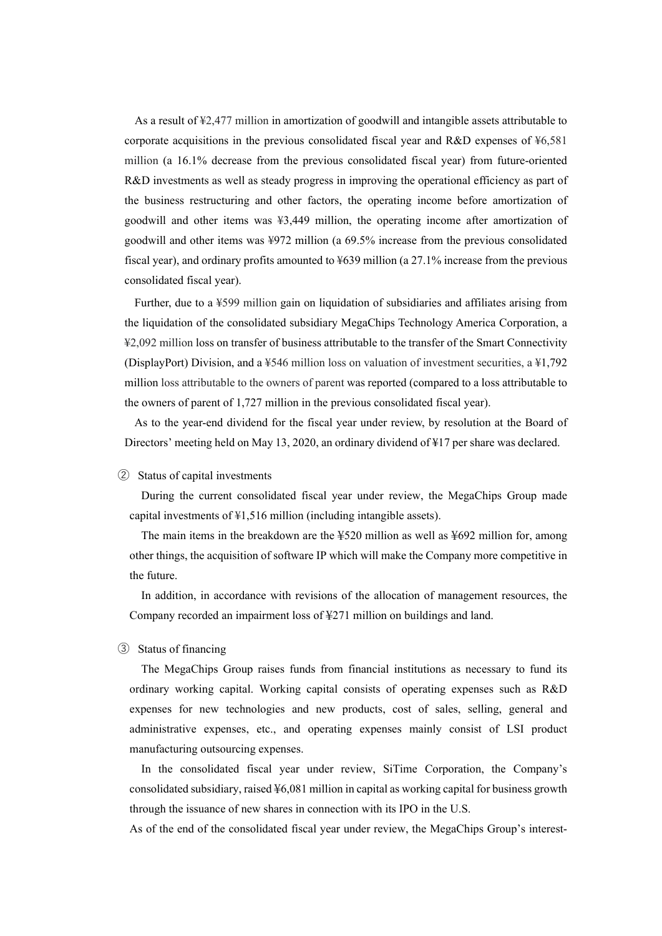As a result of ¥2,477 million in amortization of goodwill and intangible assets attributable to corporate acquisitions in the previous consolidated fiscal year and R&D expenses of ¥6,581 million (a 16.1% decrease from the previous consolidated fiscal year) from future-oriented R&D investments as well as steady progress in improving the operational efficiency as part of the business restructuring and other factors, the operating income before amortization of goodwill and other items was ¥3,449 million, the operating income after amortization of goodwill and other items was ¥972 million (a 69.5% increase from the previous consolidated fiscal year), and ordinary profits amounted to ¥639 million (a 27.1% increase from the previous consolidated fiscal year).

Further, due to a ¥599 million gain on liquidation of subsidiaries and affiliates arising from the liquidation of the consolidated subsidiary MegaChips Technology America Corporation, a ¥2,092 million loss on transfer of business attributable to the transfer of the Smart Connectivity (DisplayPort) Division, and a ¥546 million loss on valuation of investment securities, a ¥1,792 million loss attributable to the owners of parent was reported (compared to a loss attributable to the owners of parent of 1,727 million in the previous consolidated fiscal year).

As to the year-end dividend for the fiscal year under review, by resolution at the Board of Directors' meeting held on May 13, 2020, an ordinary dividend of ¥17 per share was declared.

## ② Status of capital investments

During the current consolidated fiscal year under review, the MegaChips Group made capital investments of ¥1,516 million (including intangible assets).

The main items in the breakdown are the  $\text{\#520}$  million as well as  $\text{\#692}$  million for, among other things, the acquisition of software IP which will make the Company more competitive in the future.

In addition, in accordance with revisions of the allocation of management resources, the Company recorded an impairment loss of ¥271 million on buildings and land.

## ③ Status of financing

The MegaChips Group raises funds from financial institutions as necessary to fund its ordinary working capital. Working capital consists of operating expenses such as R&D expenses for new technologies and new products, cost of sales, selling, general and administrative expenses, etc., and operating expenses mainly consist of LSI product manufacturing outsourcing expenses.

In the consolidated fiscal year under review, SiTime Corporation, the Company's consolidated subsidiary, raised ¥6,081 million in capital as working capital for business growth through the issuance of new shares in connection with its IPO in the U.S.

As of the end of the consolidated fiscal year under review, the MegaChips Group's interest-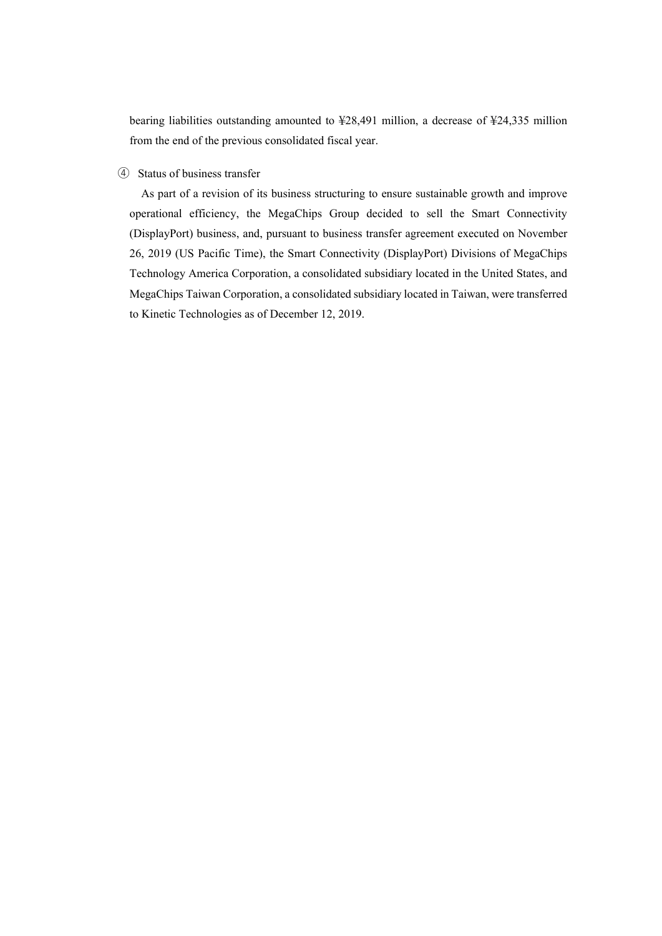bearing liabilities outstanding amounted to ¥28,491 million, a decrease of ¥24,335 million from the end of the previous consolidated fiscal year.

# ④ Status of business transfer

As part of a revision of its business structuring to ensure sustainable growth and improve operational efficiency, the MegaChips Group decided to sell the Smart Connectivity (DisplayPort) business, and, pursuant to business transfer agreement executed on November 26, 2019 (US Pacific Time), the Smart Connectivity (DisplayPort) Divisions of MegaChips Technology America Corporation, a consolidated subsidiary located in the United States, and MegaChips Taiwan Corporation, a consolidated subsidiary located in Taiwan, were transferred to Kinetic Technologies as of December 12, 2019.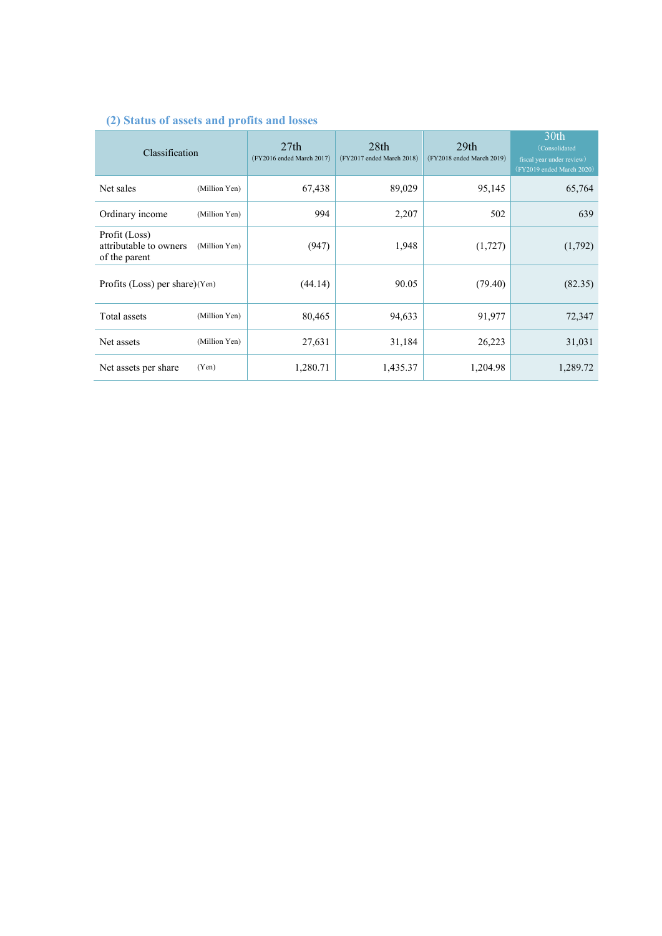# **(2) Status of assets and profits and losses**

| Classification                                           |               | 27 <sub>th</sub><br>$(FY2016 \text{ ended March } 2017)$ | 28 <sub>th</sub><br>$(FY2017 \text{ ended March } 2018)$ | 29th<br>(FY2018 ended March 2019) | 30th<br>(Consolidated<br>fiscal year under review)<br>(FY2019 ended March 2020) |
|----------------------------------------------------------|---------------|----------------------------------------------------------|----------------------------------------------------------|-----------------------------------|---------------------------------------------------------------------------------|
| Net sales                                                | (Million Yen) | 67,438                                                   | 89,029                                                   | 95,145                            | 65,764                                                                          |
| Ordinary income                                          | (Million Yen) | 994                                                      | 2,207                                                    | 502                               | 639                                                                             |
| Profit (Loss)<br>attributable to owners<br>of the parent | (Million Yen) | (947)                                                    | 1,948                                                    | (1,727)                           | (1,792)                                                                         |
| Profits (Loss) per share)(Yen)                           |               | (44.14)                                                  | 90.05                                                    | (79.40)                           | (82.35)                                                                         |
| Total assets                                             | (Million Yen) | 80,465                                                   | 94,633                                                   | 91,977                            | 72,347                                                                          |
| Net assets                                               | (Million Yen) | 27,631                                                   | 31,184                                                   | 26,223                            | 31,031                                                                          |
| Net assets per share                                     | (Yen)         | 1,280.71                                                 | 1,435.37                                                 | 1,204.98                          | 1,289.72                                                                        |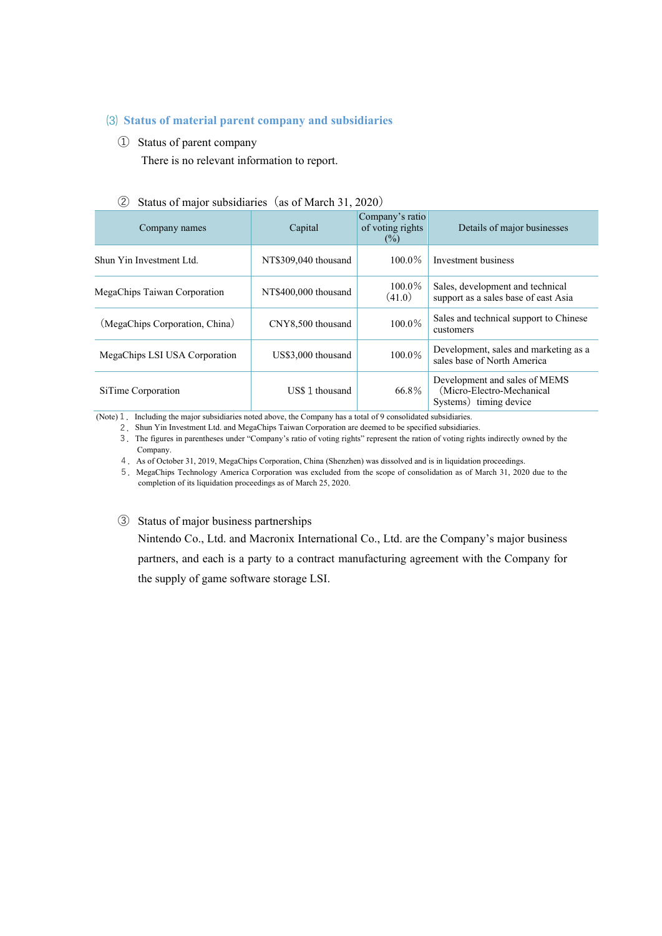# ⑶ **Status of material parent company and subsidiaries**

① Status of parent company

There is no relevant information to report.

# ② Status of major subsidiaries(as of March 31, 2020)

| Company names                  | Capital              | Company's ratio<br>of voting rights<br>$(\%)$ | Details of major businesses                                                          |
|--------------------------------|----------------------|-----------------------------------------------|--------------------------------------------------------------------------------------|
| Shun Yin Investment Ltd.       | NT\$309,040 thousand | $100.0\%$                                     | Investment business                                                                  |
| MegaChips Taiwan Corporation   | NT\$400,000 thousand | 100.0%<br>(41.0)                              | Sales, development and technical<br>support as a sales base of east Asia             |
| (MegaChips Corporation, China) | CNY8.500 thousand    | 100.0%                                        | Sales and technical support to Chinese<br>customers                                  |
| MegaChips LSI USA Corporation  | US\$3,000 thousand   | 100.0%                                        | Development, sales and marketing as a<br>sales base of North America                 |
| SiTime Corporation             | US\$ 1 thousand      | 66.8%                                         | Development and sales of MEMS<br>(Micro-Electro-Mechanical<br>Systems) timing device |

(Note) 1. Including the major subsidiaries noted above, the Company has a total of 9 consolidated subsidiaries.

2.Shun Yin Investment Ltd. and MegaChips Taiwan Corporation are deemed to be specified subsidiaries.

3.The figures in parentheses under "Company's ratio of voting rights" represent the ration of voting rights indirectly owned by the Company.

4.As of October 31, 2019, MegaChips Corporation, China (Shenzhen) was dissolved and is in liquidation proceedings.

5.MegaChips Technology America Corporation was excluded from the scope of consolidation as of March 31, 2020 due to the completion of its liquidation proceedings as of March 25, 2020.

③ Status of major business partnerships

Nintendo Co., Ltd. and Macronix International Co., Ltd. are the Company's major business partners, and each is a party to a contract manufacturing agreement with the Company for the supply of game software storage LSI.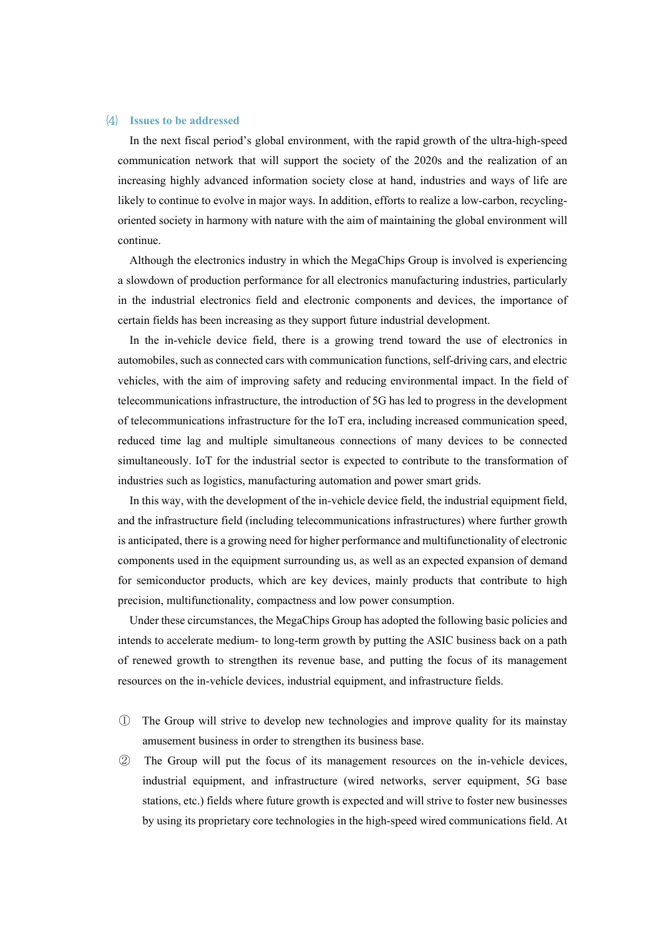# ⑷ **Issues to be addressed**

In the next fiscal period's global environment, with the rapid growth of the ultra-high-speed communication network that will support the society of the 2020s and the realization of an increasing highly advanced information society close at hand, industries and ways of life are likely to continue to evolve in major ways. In addition, efforts to realize a low-carbon, recyclingoriented society in harmony with nature with the aim of maintaining the global environment will continue.

Although the electronics industry in which the MegaChips Group is involved is experiencing a slowdown of production performance for all electronics manufacturing industries, particularly in the industrial electronics field and electronic components and devices, the importance of certain fields has been increasing as they support future industrial development.

In the in-vehicle device field, there is a growing trend toward the use of electronics in automobiles, such as connected cars with communication functions, self-driving cars, and electric vehicles, with the aim of improving safety and reducing environmental impact. In the field of telecommunications infrastructure, the introduction of 5G has led to progress in the development of telecommunications infrastructure for the IoT era, including increased communication speed, reduced time lag and multiple simultaneous connections of many devices to be connected simultaneously. IoT for the industrial sector is expected to contribute to the transformation of industries such as logistics, manufacturing automation and power smart grids.

In this way, with the development of the in-vehicle device field, the industrial equipment field, and the infrastructure field (including telecommunications infrastructures) where further growth is anticipated, there is a growing need for higher performance and multifunctionality of electronic components used in the equipment surrounding us, as well as an expected expansion of demand for semiconductor products, which are key devices, mainly products that contribute to high precision, multifunctionality, compactness and low power consumption.

Under these circumstances, the MegaChips Group has adopted the following basic policies and intends to accelerate medium- to long-term growth by putting the ASIC business back on a path of renewed growth to strengthen its revenue base, and putting the focus of its management resources on the in-vehicle devices, industrial equipment, and infrastructure fields.

- ① The Group will strive to develop new technologies and improve quality for its mainstay amusement business in order to strengthen its business base.
- ② The Group will put the focus of its management resources on the in-vehicle devices, industrial equipment, and infrastructure (wired networks, server equipment, 5G base stations, etc.) fields where future growth is expected and will strive to foster new businesses by using its proprietary core technologies in the high-speed wired communications field. At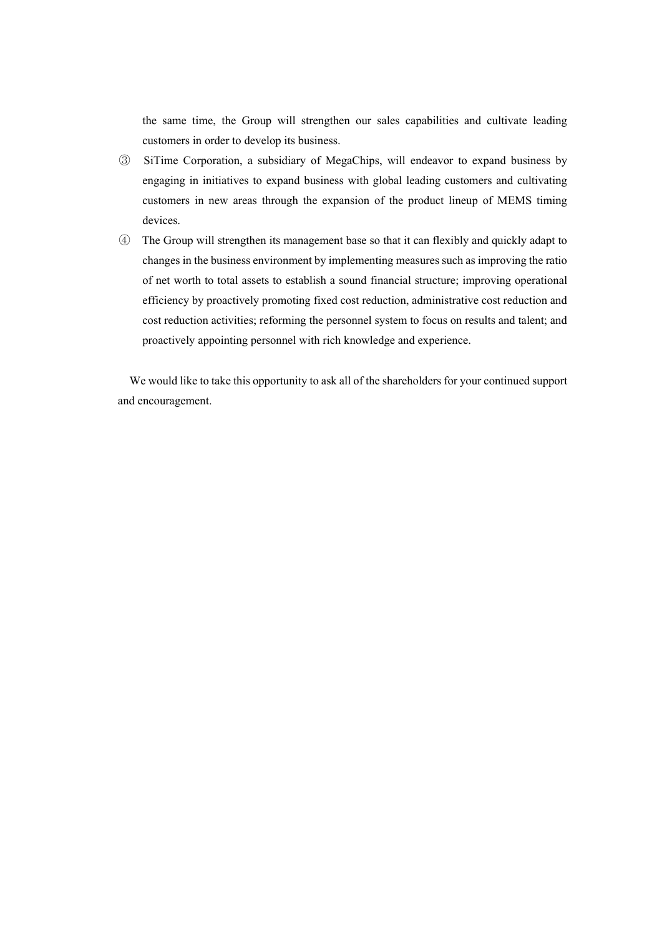the same time, the Group will strengthen our sales capabilities and cultivate leading customers in order to develop its business.

- ③ SiTime Corporation, a subsidiary of MegaChips, will endeavor to expand business by engaging in initiatives to expand business with global leading customers and cultivating customers in new areas through the expansion of the product lineup of MEMS timing devices.
- ④ The Group will strengthen its management base so that it can flexibly and quickly adapt to changes in the business environment by implementing measures such as improving the ratio of net worth to total assets to establish a sound financial structure; improving operational efficiency by proactively promoting fixed cost reduction, administrative cost reduction and cost reduction activities; reforming the personnel system to focus on results and talent; and proactively appointing personnel with rich knowledge and experience.

We would like to take this opportunity to ask all of the shareholders for your continued support and encouragement.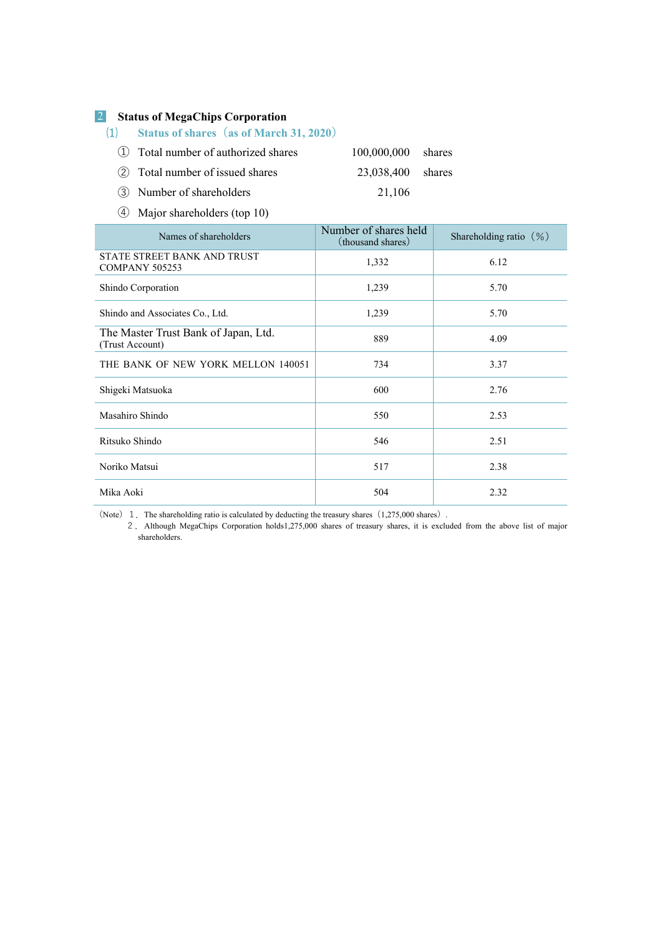# 2 **Status of MegaChips Corporation**

⑴ **Status of shares(as of March 31, 2020)**

| 1) Total number of authorized shares | 100,000,000 shares |  |
|--------------------------------------|--------------------|--|
| 2 Total number of issued shares      | 23,038,400 shares  |  |
| 3 Number of shareholders             | 21,106             |  |
|                                      |                    |  |

④ Major shareholders (top 10)

| Names of shareholders                                   | Number of shares held<br>(thousand shares) | Shareholding ratio $(\%)$ |
|---------------------------------------------------------|--------------------------------------------|---------------------------|
| STATE STREET BANK AND TRUST<br><b>COMPANY 505253</b>    | 1,332                                      | 6.12                      |
| Shindo Corporation                                      | 1,239                                      | 5.70                      |
| Shindo and Associates Co., Ltd.                         | 1,239                                      | 5.70                      |
| The Master Trust Bank of Japan, Ltd.<br>(Trust Account) | 889                                        | 4.09                      |
| THE BANK OF NEW YORK MELLON 140051                      | 734                                        | 3.37                      |
| Shigeki Matsuoka                                        | 600                                        | 2.76                      |
| Masahiro Shindo                                         | 550                                        | 2.53                      |
| Ritsuko Shindo                                          | 546                                        | 2.51                      |
| Noriko Matsui                                           | 517                                        | 2.38                      |
| Mika Aoki                                               | 504                                        | 2.32                      |

(Note)  $1$ . The shareholding ratio is calculated by deducting the treasury shares  $(1,275,000$  shares).

2.Although MegaChips Corporation holds1,275,000 shares of treasury shares, it is excluded from the above list of major shareholders.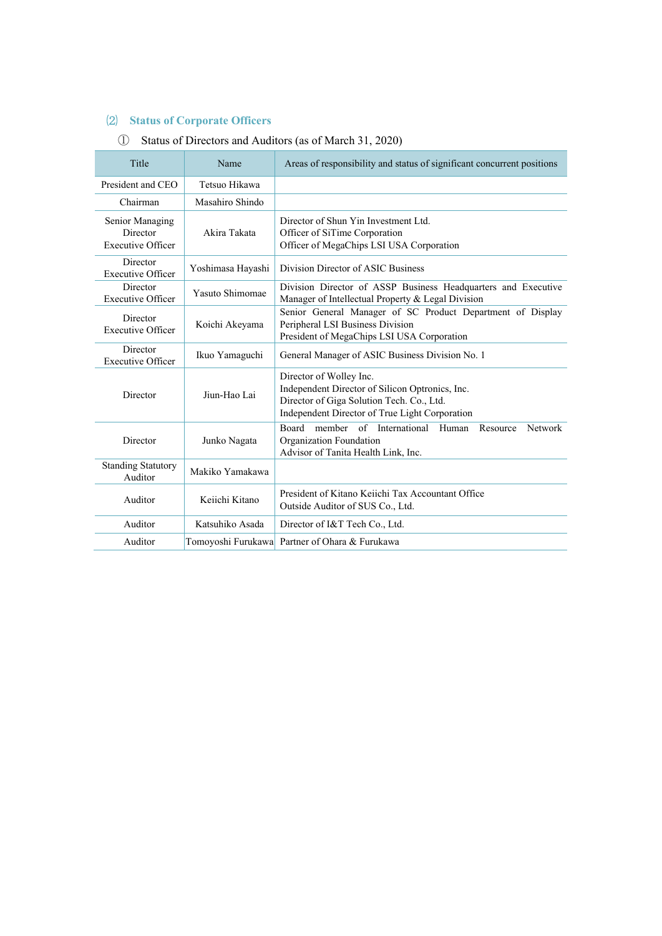# ⑵ **Status of Corporate Officers**

# ① Status of Directors and Auditors (as of March 31, 2020)

| Title                                                   | Name               | Areas of responsibility and status of significant concurrent positions                                                                                                    |
|---------------------------------------------------------|--------------------|---------------------------------------------------------------------------------------------------------------------------------------------------------------------------|
| President and CEO                                       | Tetsuo Hikawa      |                                                                                                                                                                           |
| Chairman                                                | Masahiro Shindo    |                                                                                                                                                                           |
| Senior Managing<br>Director<br><b>Executive Officer</b> | Akira Takata       | Director of Shun Yin Investment Ltd.<br>Officer of SiTime Corporation<br>Officer of MegaChips LSI USA Corporation                                                         |
| Director<br><b>Executive Officer</b>                    | Yoshimasa Hayashi  | Division Director of ASIC Business                                                                                                                                        |
| Director<br><b>Executive Officer</b>                    | Yasuto Shimomae    | Division Director of ASSP Business Headquarters and Executive<br>Manager of Intellectual Property & Legal Division                                                        |
| Director<br><b>Executive Officer</b>                    | Koichi Akeyama     | Senior General Manager of SC Product Department of Display<br>Peripheral LSI Business Division<br>President of MegaChips LSI USA Corporation                              |
| Director<br><b>Executive Officer</b>                    | Ikuo Yamaguchi     | General Manager of ASIC Business Division No. 1                                                                                                                           |
| Director                                                | Jiun-Hao Lai       | Director of Wolley Inc.<br>Independent Director of Silicon Optronics, Inc.<br>Director of Giga Solution Tech. Co., Ltd.<br>Independent Director of True Light Corporation |
| Director                                                | Junko Nagata       | member of International<br>Board<br>Human<br>Network<br>Resource<br>Organization Foundation<br>Advisor of Tanita Health Link, Inc.                                        |
| <b>Standing Statutory</b><br>Auditor                    | Makiko Yamakawa    |                                                                                                                                                                           |
| Auditor                                                 | Keiichi Kitano     | President of Kitano Keiichi Tax Accountant Office<br>Outside Auditor of SUS Co., Ltd.                                                                                     |
| Auditor                                                 | Katsuhiko Asada    | Director of I&T Tech Co., Ltd.                                                                                                                                            |
| Auditor                                                 | Tomoyoshi Furukawa | Partner of Ohara & Furukawa                                                                                                                                               |
|                                                         |                    |                                                                                                                                                                           |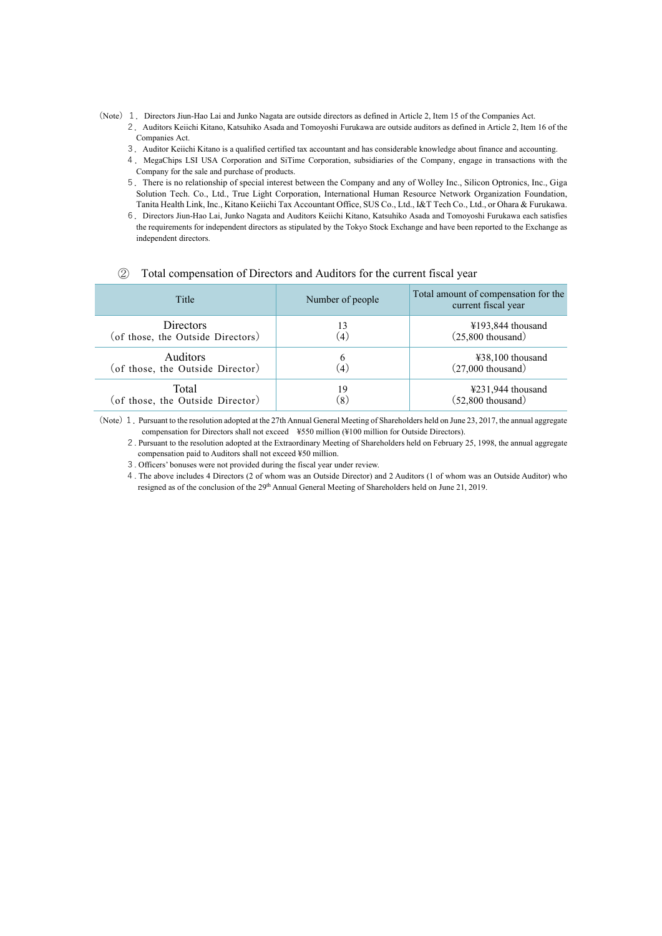(Note)1.Directors Jiun-Hao Lai and Junko Nagata are outside directors as defined in Article 2, Item 15 of the Companies Act.

- 2.Auditors Keiichi Kitano, Katsuhiko Asada and Tomoyoshi Furukawa are outside auditors as defined in Article 2, Item 16 of the Companies Act.
- 3.Auditor Keiichi Kitano is a qualified certified tax accountant and has considerable knowledge about finance and accounting.
- 4.MegaChips LSI USA Corporation and SiTime Corporation, subsidiaries of the Company, engage in transactions with the Company for the sale and purchase of products.
- 5.There is no relationship of special interest between the Company and any of Wolley Inc., Silicon Optronics, Inc., Giga Solution Tech. Co., Ltd., True Light Corporation, International Human Resource Network Organization Foundation, Tanita Health Link, Inc., Kitano Keiichi Tax Accountant Office, SUS Co., Ltd., I&T Tech Co., Ltd., or Ohara & Furukawa.
- 6.Directors Jiun-Hao Lai, Junko Nagata and Auditors Keiichi Kitano, Katsuhiko Asada and Tomoyoshi Furukawa each satisfies the requirements for independent directors as stipulated by the Tokyo Stock Exchange and have been reported to the Exchange as independent directors.

## ② Total compensation of Directors and Auditors for the current fiscal year

| Title                                                 | Number of people       | Total amount of compensation for the<br>current fiscal year   |
|-------------------------------------------------------|------------------------|---------------------------------------------------------------|
| <b>Directors</b><br>(of those, the Outside Directors) | $\left(4\right)$       | $\text{\#}193,844$ thousand<br>$(25,800$ thousand)            |
| <b>Auditors</b><br>(of those, the Outside Director)   | (4)                    | ¥38,100 thousand<br>$(27,000$ thousand)                       |
| Total<br>(of those, the Outside Director)             | 19<br>$\left(8\right)$ | $\text{\textsterling}231,944$ thousand<br>$(52,800$ thousand) |

(Note) 1. Pursuant to the resolution adopted at the 27th Annual General Meeting of Shareholders held on June 23, 2017, the annual aggregate compensation for Directors shall not exceed ¥550 million (¥100 million for Outside Directors).

2. Pursuant to the resolution adopted at the Extraordinary Meeting of Shareholders held on February 25, 1998, the annual aggregate compensation paid to Auditors shall not exceed ¥50 million.

3. Officers' bonuses were not provided during the fiscal year under review.

4. The above includes 4 Directors (2 of whom was an Outside Director) and 2 Auditors (1 of whom was an Outside Auditor) who resigned as of the conclusion of the 29<sup>th</sup> Annual General Meeting of Shareholders held on June 21, 2019.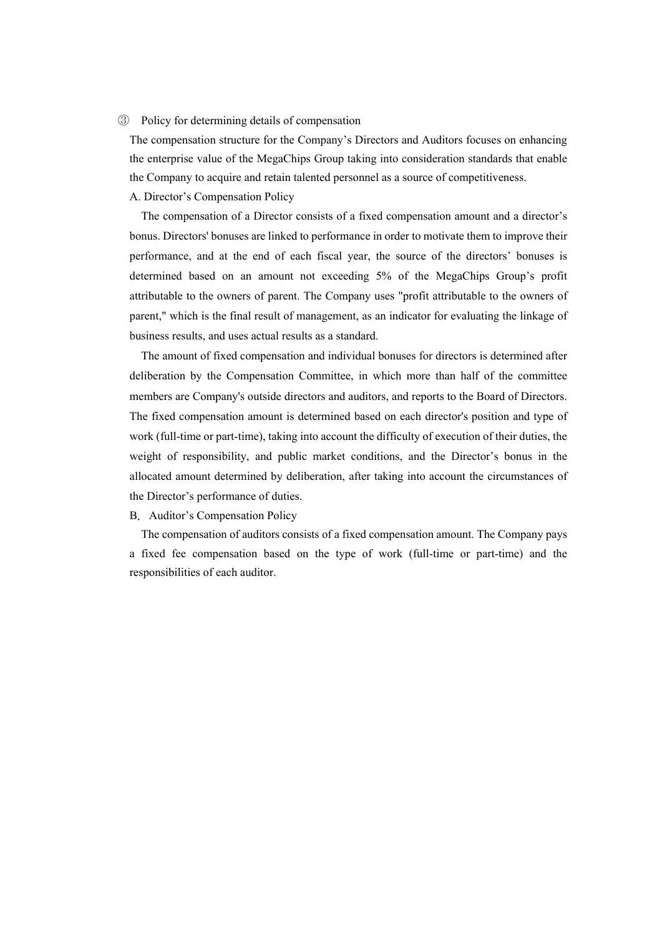# ③ Policy for determining details of compensation

The compensation structure for the Company's Directors and Auditors focuses on enhancing the enterprise value of the MegaChips Group taking into consideration standards that enable the Company to acquire and retain talented personnel as a source of competitiveness.

# A. Director's Compensation Policy

The compensation of a Director consists of a fixed compensation amount and a director's bonus. Directors' bonuses are linked to performance in order to motivate them to improve their performance, and at the end of each fiscal year, the source of the directors' bonuses is determined based on an amount not exceeding 5% of the MegaChips Group's profit attributable to the owners of parent. The Company uses "profit attributable to the owners of parent," which is the final result of management, as an indicator for evaluating the linkage of business results, and uses actual results as a standard.

The amount of fixed compensation and individual bonuses for directors is determined after deliberation by the Compensation Committee, in which more than half of the committee members are Company's outside directors and auditors, and reports to the Board of Directors. The fixed compensation amount is determined based on each director's position and type of work (full-time or part-time), taking into account the difficulty of execution of their duties, the weight of responsibility, and public market conditions, and the Director's bonus in the allocated amount determined by deliberation, after taking into account the circumstances of the Director's performance of duties.

# B.Auditor's Compensation Policy

The compensation of auditors consists of a fixed compensation amount. The Company pays a fixed fee compensation based on the type of work (full-time or part-time) and the responsibilities of each auditor.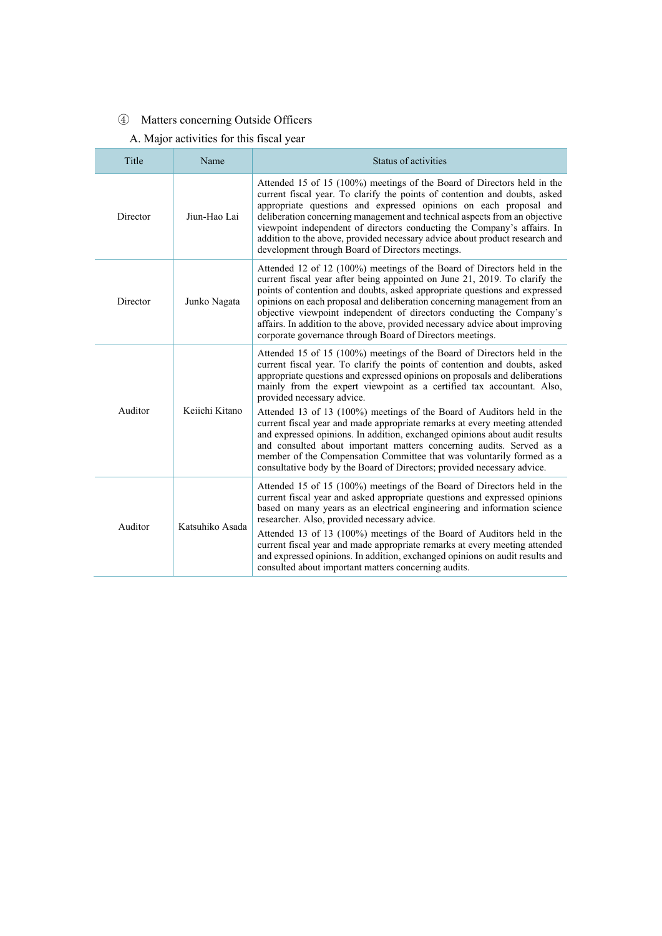# ④ Matters concerning Outside Officers

# A. Major activities for this fiscal year

| Title    | Name            | Status of activities                                                                                                                                                                                                                                                                                                                                                                                                                                                                                                                                                                                                                                                                                                                                                                                           |
|----------|-----------------|----------------------------------------------------------------------------------------------------------------------------------------------------------------------------------------------------------------------------------------------------------------------------------------------------------------------------------------------------------------------------------------------------------------------------------------------------------------------------------------------------------------------------------------------------------------------------------------------------------------------------------------------------------------------------------------------------------------------------------------------------------------------------------------------------------------|
| Director | Jiun-Hao Lai    | Attended 15 of 15 (100%) meetings of the Board of Directors held in the<br>current fiscal year. To clarify the points of contention and doubts, asked<br>appropriate questions and expressed opinions on each proposal and<br>deliberation concerning management and technical aspects from an objective<br>viewpoint independent of directors conducting the Company's affairs. In<br>addition to the above, provided necessary advice about product research and<br>development through Board of Directors meetings.                                                                                                                                                                                                                                                                                         |
| Director | Junko Nagata    | Attended 12 of 12 (100%) meetings of the Board of Directors held in the<br>current fiscal year after being appointed on June 21, 2019. To clarify the<br>points of contention and doubts, asked appropriate questions and expressed<br>opinions on each proposal and deliberation concerning management from an<br>objective viewpoint independent of directors conducting the Company's<br>affairs. In addition to the above, provided necessary advice about improving<br>corporate governance through Board of Directors meetings.                                                                                                                                                                                                                                                                          |
| Auditor  | Keiichi Kitano  | Attended 15 of 15 (100%) meetings of the Board of Directors held in the<br>current fiscal year. To clarify the points of contention and doubts, asked<br>appropriate questions and expressed opinions on proposals and deliberations<br>mainly from the expert viewpoint as a certified tax accountant. Also,<br>provided necessary advice.<br>Attended 13 of 13 (100%) meetings of the Board of Auditors held in the<br>current fiscal year and made appropriate remarks at every meeting attended<br>and expressed opinions. In addition, exchanged opinions about audit results<br>and consulted about important matters concerning audits. Served as a<br>member of the Compensation Committee that was voluntarily formed as a<br>consultative body by the Board of Directors; provided necessary advice. |
| Auditor  | Katsuhiko Asada | Attended 15 of 15 (100%) meetings of the Board of Directors held in the<br>current fiscal year and asked appropriate questions and expressed opinions<br>based on many years as an electrical engineering and information science<br>researcher. Also, provided necessary advice.<br>Attended 13 of 13 (100%) meetings of the Board of Auditors held in the<br>current fiscal year and made appropriate remarks at every meeting attended<br>and expressed opinions. In addition, exchanged opinions on audit results and<br>consulted about important matters concerning audits.                                                                                                                                                                                                                              |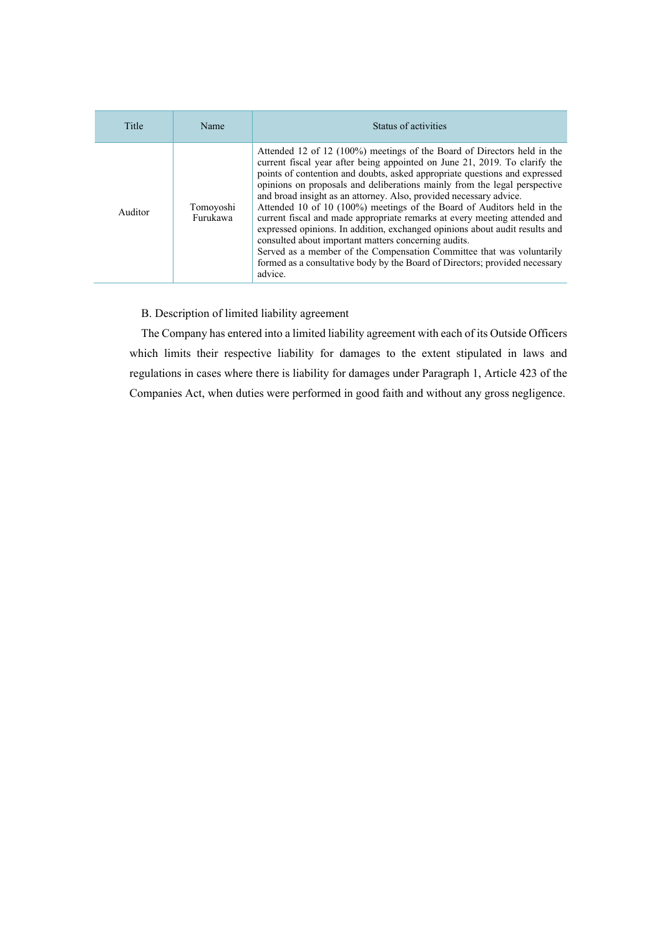| Title   | Name                  | Status of activities                                                                                                                                                                                                                                                                                                                                                                                                                                                                                                                                                                                                                                                                                                                                                                                                                                    |
|---------|-----------------------|---------------------------------------------------------------------------------------------------------------------------------------------------------------------------------------------------------------------------------------------------------------------------------------------------------------------------------------------------------------------------------------------------------------------------------------------------------------------------------------------------------------------------------------------------------------------------------------------------------------------------------------------------------------------------------------------------------------------------------------------------------------------------------------------------------------------------------------------------------|
| Auditor | Tomoyoshi<br>Furukawa | Attended 12 of 12 (100%) meetings of the Board of Directors held in the<br>current fiscal year after being appointed on June 21, 2019. To clarify the<br>points of contention and doubts, asked appropriate questions and expressed<br>opinions on proposals and deliberations mainly from the legal perspective<br>and broad insight as an attorney. Also, provided necessary advice.<br>Attended 10 of 10 (100%) meetings of the Board of Auditors held in the<br>current fiscal and made appropriate remarks at every meeting attended and<br>expressed opinions. In addition, exchanged opinions about audit results and<br>consulted about important matters concerning audits.<br>Served as a member of the Compensation Committee that was voluntarily<br>formed as a consultative body by the Board of Directors; provided necessary<br>advice. |

# B. Description of limited liability agreement

The Company has entered into a limited liability agreement with each of its Outside Officers which limits their respective liability for damages to the extent stipulated in laws and regulations in cases where there is liability for damages under Paragraph 1, Article 423 of the Companies Act, when duties were performed in good faith and without any gross negligence.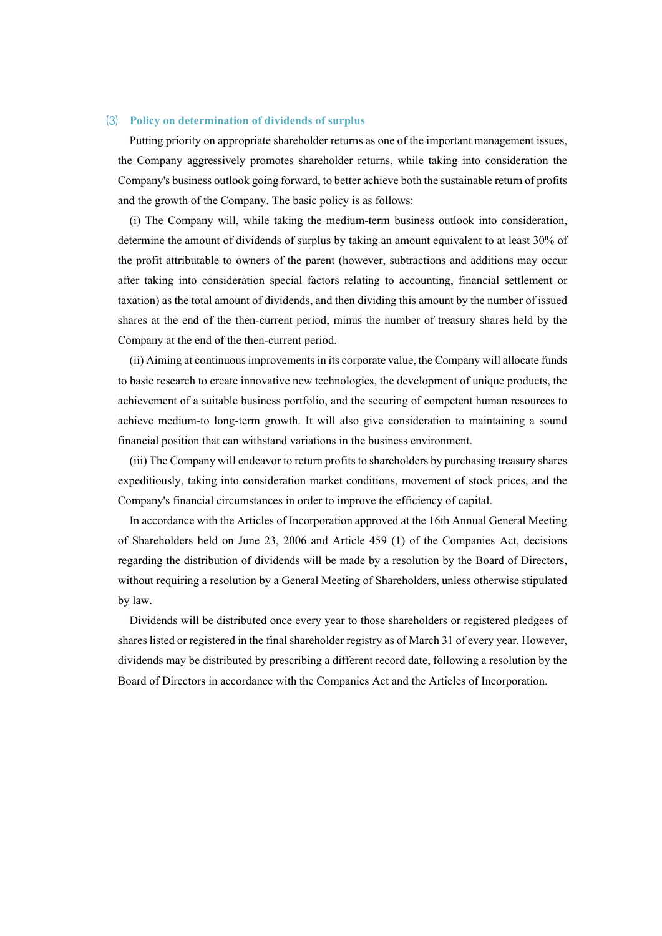# ⑶ **Policy on determination of dividends of surplus**

Putting priority on appropriate shareholder returns as one of the important management issues, the Company aggressively promotes shareholder returns, while taking into consideration the Company's business outlook going forward, to better achieve both the sustainable return of profits and the growth of the Company. The basic policy is as follows:

(i) The Company will, while taking the medium-term business outlook into consideration, determine the amount of dividends of surplus by taking an amount equivalent to at least 30% of the profit attributable to owners of the parent (however, subtractions and additions may occur after taking into consideration special factors relating to accounting, financial settlement or taxation) as the total amount of dividends, and then dividing this amount by the number of issued shares at the end of the then-current period, minus the number of treasury shares held by the Company at the end of the then-current period.

(ii) Aiming at continuous improvements in its corporate value, the Company will allocate funds to basic research to create innovative new technologies, the development of unique products, the achievement of a suitable business portfolio, and the securing of competent human resources to achieve medium-to long-term growth. It will also give consideration to maintaining a sound financial position that can withstand variations in the business environment.

(iii) The Company will endeavor to return profits to shareholders by purchasing treasury shares expeditiously, taking into consideration market conditions, movement of stock prices, and the Company's financial circumstances in order to improve the efficiency of capital.

In accordance with the Articles of Incorporation approved at the 16th Annual General Meeting of Shareholders held on June 23, 2006 and Article 459 (1) of the Companies Act, decisions regarding the distribution of dividends will be made by a resolution by the Board of Directors, without requiring a resolution by a General Meeting of Shareholders, unless otherwise stipulated by law.

Dividends will be distributed once every year to those shareholders or registered pledgees of shares listed or registered in the final shareholder registry as of March 31 of every year. However, dividends may be distributed by prescribing a different record date, following a resolution by the Board of Directors in accordance with the Companies Act and the Articles of Incorporation.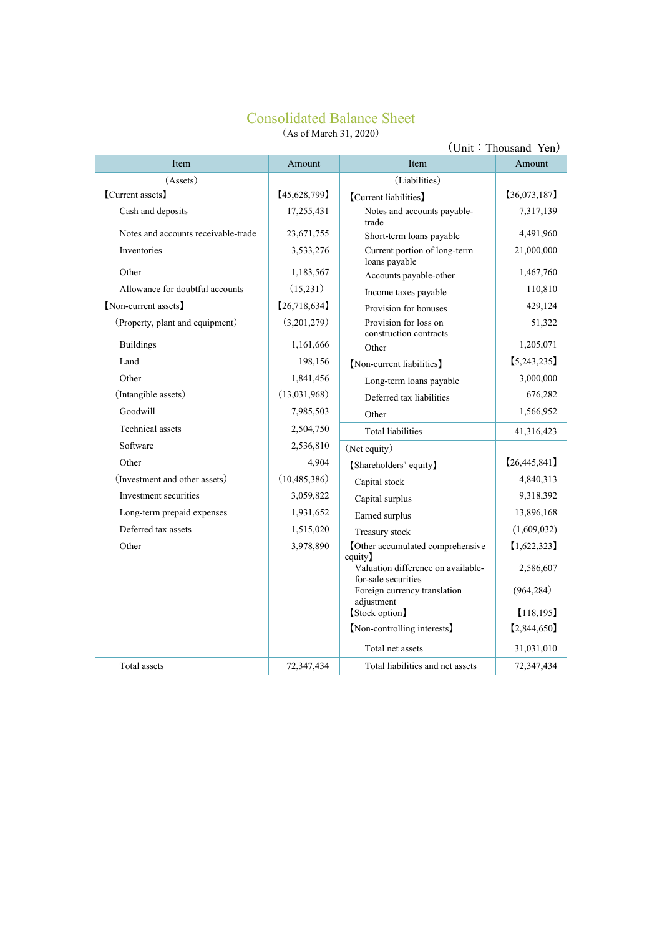# Consolidated Balance Sheet

(As of March 31, 2020)

|                                     |                |                                                           | (Unit: Thousand Yen) |
|-------------------------------------|----------------|-----------------------------------------------------------|----------------------|
| Item                                | Amount         | Item                                                      | Amount               |
| (A <sub>s</sub> )                   |                | (Liabilities)                                             |                      |
| [Current assets]                    | [45,628,799]   | [Current liabilities]                                     | [36,073,187]         |
| Cash and deposits                   | 17,255,431     | Notes and accounts payable-<br>trade                      | 7,317,139            |
| Notes and accounts receivable-trade | 23,671,755     | Short-term loans payable                                  | 4,491,960            |
| Inventories                         | 3,533,276      | Current portion of long-term<br>loans payable             | 21,000,000           |
| Other                               | 1,183,567      | Accounts payable-other                                    | 1,467,760            |
| Allowance for doubtful accounts     | (15,231)       | Income taxes payable                                      | 110,810              |
| [Non-current assets]                | [26,718,634]   | Provision for bonuses                                     | 429,124              |
| (Property, plant and equipment)     | (3,201,279)    | Provision for loss on<br>construction contracts           | 51,322               |
| <b>Buildings</b>                    | 1,161,666      | Other                                                     | 1,205,071            |
| Land                                | 198,156        | [Non-current liabilities]                                 | [5, 243, 235]        |
| Other                               | 1,841,456      | Long-term loans payable                                   | 3,000,000            |
| (Intangible assets)                 | (13,031,968)   | Deferred tax liabilities                                  | 676,282              |
| Goodwill                            | 7,985,503      | Other                                                     | 1,566,952            |
| <b>Technical</b> assets             | 2,504,750      | <b>Total liabilities</b>                                  | 41,316,423           |
| Software                            | 2,536,810      | (Net equity)                                              |                      |
| Other                               | 4,904          | [Shareholders' equity]                                    | [26, 445, 841]       |
| (Investment and other assets)       | (10, 485, 386) | Capital stock                                             | 4,840,313            |
| Investment securities               | 3,059,822      | Capital surplus                                           | 9,318,392            |
| Long-term prepaid expenses          | 1,931,652      | Earned surplus                                            | 13,896,168           |
| Deferred tax assets                 | 1,515,020      | Treasury stock                                            | (1,609,032)          |
| Other                               | 3,978,890      | Other accumulated comprehensive<br>equity)                | [1,622,323]          |
|                                     |                | Valuation difference on available-<br>for-sale securities | 2,586,607            |
|                                     |                | Foreign currency translation<br>adjustment                | (964, 284)           |
|                                     |                | [Stock option]                                            | [118, 195]           |
|                                     |                | [Non-controlling interests]                               | [2,844,650]          |
|                                     |                | Total net assets                                          | 31,031,010           |
| Total assets                        | 72,347,434     | Total liabilities and net assets                          | 72,347,434           |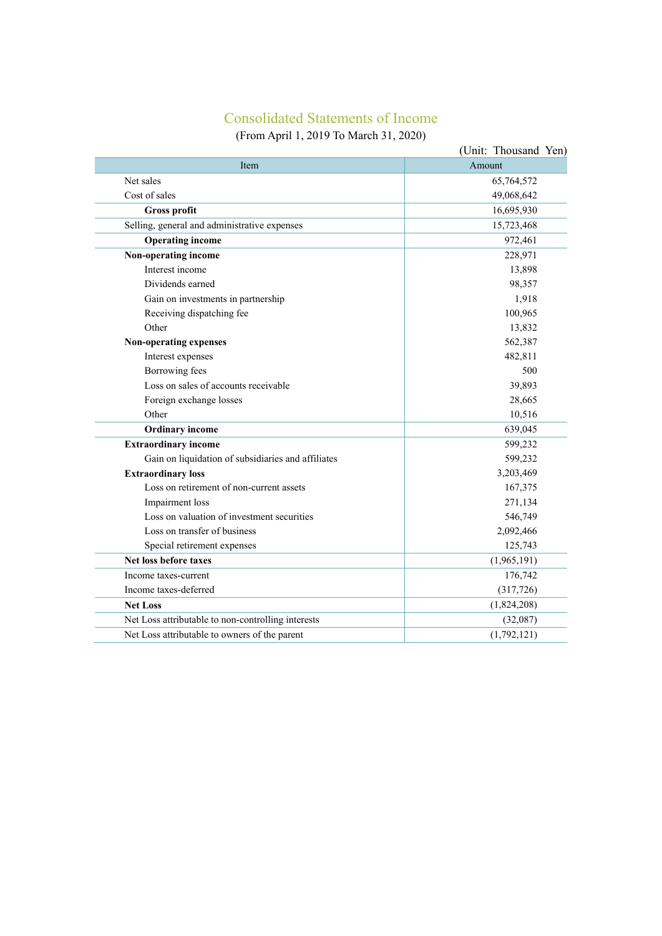# Consolidated Statements of Income

(From April 1, 2019 To March 31, 2020)

|                                                    | (Unit: Thousand Yen) |
|----------------------------------------------------|----------------------|
| Item                                               | Amount               |
| Net sales                                          | 65,764,572           |
| Cost of sales                                      | 49,068,642           |
| <b>Gross profit</b>                                | 16,695,930           |
| Selling, general and administrative expenses       | 15,723,468           |
| <b>Operating income</b>                            | 972,461              |
| Non-operating income                               | 228,971              |
| Interest income                                    | 13,898               |
| Dividends earned                                   | 98,357               |
| Gain on investments in partnership                 | 1,918                |
| Receiving dispatching fee                          | 100,965              |
| Other                                              | 13,832               |
| Non-operating expenses                             | 562,387              |
| Interest expenses                                  | 482,811              |
| Borrowing fees                                     | 500                  |
| Loss on sales of accounts receivable               | 39,893               |
| Foreign exchange losses                            | 28,665               |
| Other                                              | 10,516               |
| <b>Ordinary income</b>                             | 639,045              |
| <b>Extraordinary income</b>                        | 599,232              |
| Gain on liquidation of subsidiaries and affiliates | 599,232              |
| <b>Extraordinary loss</b>                          | 3,203,469            |
| Loss on retirement of non-current assets           | 167,375              |
| Impairment loss                                    | 271,134              |
| Loss on valuation of investment securities         | 546,749              |
| Loss on transfer of business                       | 2,092,466            |
| Special retirement expenses                        | 125,743              |
| <b>Net loss before taxes</b>                       | (1,965,191)          |
| Income taxes-current                               | 176,742              |
| Income taxes-deferred                              | (317,726)            |
| <b>Net Loss</b>                                    | (1,824,208)          |
| Net Loss attributable to non-controlling interests | (32,087)             |
| Net Loss attributable to owners of the parent      | (1,792,121)          |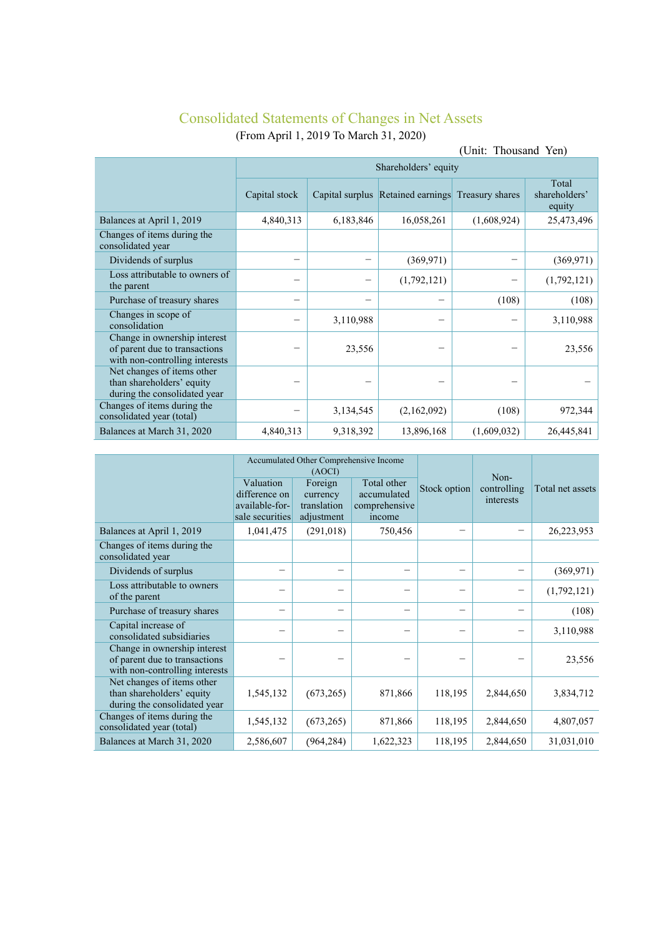# Consolidated Statements of Changes in Net Assets

(From April 1, 2019 To March 31, 2020)

|                                                                                                 |                      |           |                                                   | (Unit: Thousand Yen) |                                  |  |  |
|-------------------------------------------------------------------------------------------------|----------------------|-----------|---------------------------------------------------|----------------------|----------------------------------|--|--|
|                                                                                                 | Shareholders' equity |           |                                                   |                      |                                  |  |  |
|                                                                                                 | Capital stock        |           | Capital surplus Retained earnings Treasury shares |                      | Total<br>shareholders'<br>equity |  |  |
| Balances at April 1, 2019                                                                       | 4,840,313            | 6,183,846 | 16,058,261                                        | (1,608,924)          | 25,473,496                       |  |  |
| Changes of items during the<br>consolidated year                                                |                      |           |                                                   |                      |                                  |  |  |
| Dividends of surplus                                                                            | -                    |           | (369, 971)                                        |                      | (369, 971)                       |  |  |
| Loss attributable to owners of<br>the parent                                                    |                      |           | (1,792,121)                                       |                      | (1,792,121)                      |  |  |
| Purchase of treasury shares                                                                     | -                    |           |                                                   | (108)                | (108)                            |  |  |
| Changes in scope of<br>consolidation                                                            |                      | 3,110,988 |                                                   |                      | 3,110,988                        |  |  |
| Change in ownership interest<br>of parent due to transactions<br>with non-controlling interests |                      | 23,556    |                                                   |                      | 23,556                           |  |  |
| Net changes of items other<br>than shareholders' equity<br>during the consolidated year         |                      |           |                                                   |                      |                                  |  |  |
| Changes of items during the<br>consolidated year (total)                                        |                      | 3,134,545 | (2,162,092)                                       | (108)                | 972,344                          |  |  |
| Balances at March 31, 2020                                                                      | 4,840,313            | 9,318,392 | 13,896,168                                        | (1,609,032)          | 26,445,841                       |  |  |

|                                                                                                 |                                                                 | Accumulated Other Comprehensive Income<br>(AOCI) |                                                       |              |                                  | Total net assets |
|-------------------------------------------------------------------------------------------------|-----------------------------------------------------------------|--------------------------------------------------|-------------------------------------------------------|--------------|----------------------------------|------------------|
|                                                                                                 | Valuation<br>difference on<br>available-for-<br>sale securities | Foreign<br>currency<br>translation<br>adjustment | Total other<br>accumulated<br>comprehensive<br>income | Stock option | Non-<br>controlling<br>interests |                  |
| Balances at April 1, 2019                                                                       | 1,041,475                                                       | (291, 018)                                       | 750,456                                               |              |                                  | 26,223,953       |
| Changes of items during the<br>consolidated year                                                |                                                                 |                                                  |                                                       |              |                                  |                  |
| Dividends of surplus                                                                            |                                                                 |                                                  |                                                       |              |                                  | (369, 971)       |
| Loss attributable to owners<br>of the parent                                                    |                                                                 | -                                                | -                                                     | -            |                                  | (1,792,121)      |
| Purchase of treasury shares                                                                     |                                                                 | -                                                |                                                       |              |                                  | (108)            |
| Capital increase of<br>consolidated subsidiaries                                                |                                                                 |                                                  |                                                       |              |                                  | 3,110,988        |
| Change in ownership interest<br>of parent due to transactions<br>with non-controlling interests |                                                                 |                                                  |                                                       |              |                                  | 23,556           |
| Net changes of items other<br>than shareholders' equity<br>during the consolidated year         | 1,545,132                                                       | (673,265)                                        | 871,866                                               | 118,195      | 2,844,650                        | 3,834,712        |
| Changes of items during the<br>consolidated year (total)                                        | 1,545,132                                                       | (673,265)                                        | 871,866                                               | 118,195      | 2,844,650                        | 4,807,057        |
| Balances at March 31, 2020                                                                      | 2,586,607                                                       | (964, 284)                                       | 1,622,323                                             | 118,195      | 2,844,650                        | 31,031,010       |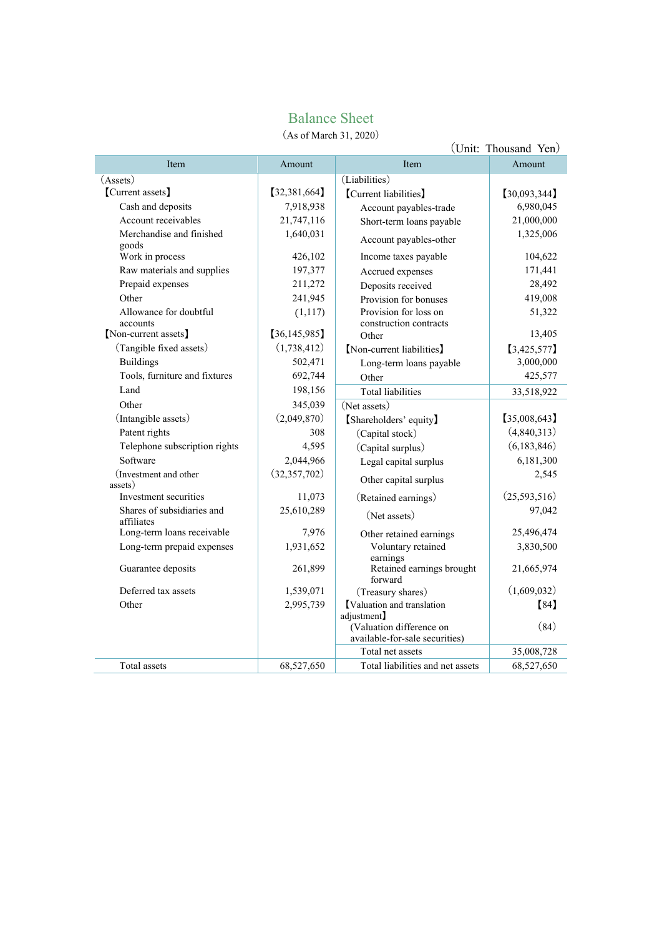# Balance Sheet

(As of March 31, 2020)

| <b>Item</b>                              | Amount         | Item                                                                      | Amount       |
|------------------------------------------|----------------|---------------------------------------------------------------------------|--------------|
| (A <sub>ssets</sub> )                    |                | (Liabilities)                                                             |              |
| [Current assets]                         | [32,381,664]   | [Current liabilities]                                                     | [30,093,344] |
| Cash and deposits                        | 7,918,938      | Account payables-trade                                                    | 6,980,045    |
| Account receivables                      | 21,747,116     | Short-term loans payable                                                  | 21,000,000   |
| Merchandise and finished<br>goods        | 1,640,031      | Account payables-other                                                    | 1,325,006    |
| Work in process                          | 426,102        | Income taxes payable                                                      | 104,622      |
| Raw materials and supplies               | 197,377        | Accrued expenses                                                          | 171,441      |
| Prepaid expenses                         | 211,272        | Deposits received                                                         | 28,492       |
| Other                                    | 241,945        | Provision for bonuses                                                     | 419,008      |
| Allowance for doubtful<br>accounts       | (1,117)        | Provision for loss on<br>construction contracts                           | 51,322       |
| [Non-current assets]                     | [36, 145, 985] | Other                                                                     | 13,405       |
| (Tangible fixed assets)                  | (1,738,412)    | [Non-current liabilities]                                                 | [3,425,577]  |
| <b>Buildings</b>                         | 502,471        | Long-term loans payable                                                   | 3,000,000    |
| Tools, furniture and fixtures            | 692,744        | Other                                                                     | 425,577      |
| Land                                     | 198,156        | <b>Total liabilities</b>                                                  | 33,518,922   |
| Other                                    | 345,039        | (Net assets)                                                              |              |
| (Intangible assets)                      | (2,049,870)    | [Shareholders' equity]                                                    | [35,008,643] |
| Patent rights                            | 308            | (Capital stock)                                                           | (4,840,313)  |
| Telephone subscription rights            | 4,595          | (Capital surplus)                                                         | (6,183,846)  |
| Software                                 | 2,044,966      | Legal capital surplus                                                     | 6,181,300    |
| (Investment and other)<br>assets)        | (32,357,702)   | Other capital surplus                                                     | 2,545        |
| Investment securities                    | 11,073         | (Retained earnings)                                                       | (25,593,516) |
| Shares of subsidiaries and<br>affiliates | 25,610,289     | (Net assets)                                                              | 97,042       |
| Long-term loans receivable               | 7,976          | Other retained earnings                                                   | 25,496,474   |
| Long-term prepaid expenses               | 1,931,652      | Voluntary retained<br>earnings                                            | 3,830,500    |
| Guarantee deposits                       | 261,899        | Retained earnings brought<br>forward                                      | 21,665,974   |
| Deferred tax assets                      | 1,539,071      | (Treasury shares)                                                         | (1,609,032)  |
| Other                                    | 2,995,739      | [Valuation and translation                                                | [84]         |
|                                          |                | adjustment)<br>(Valuation difference on<br>available-for-sale securities) | (84)         |
|                                          |                | Total net assets                                                          | 35,008,728   |
| Total assets                             | 68,527,650     | Total liabilities and net assets                                          | 68,527,650   |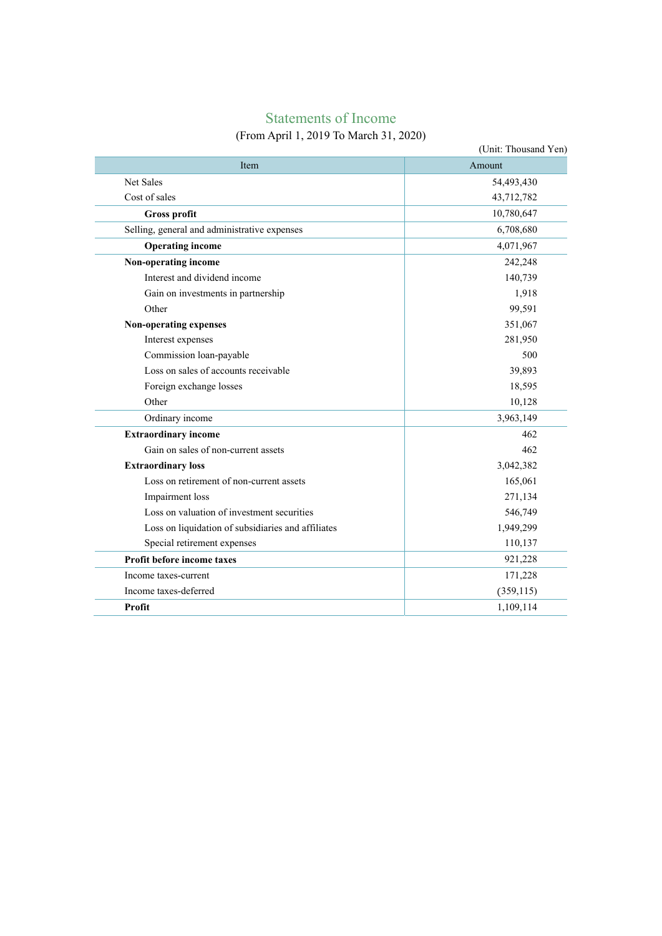# Statements of Income (From April 1, 2019 To March 31, 2020)

|                                                    | (Unit: Thousand Yen) |
|----------------------------------------------------|----------------------|
| Item                                               | Amount               |
| Net Sales                                          | 54,493,430           |
| Cost of sales                                      | 43,712,782           |
| <b>Gross profit</b>                                | 10,780,647           |
| Selling, general and administrative expenses       | 6,708,680            |
| <b>Operating income</b>                            | 4,071,967            |
| Non-operating income                               | 242,248              |
| Interest and dividend income                       | 140,739              |
| Gain on investments in partnership                 | 1,918                |
| Other                                              | 99,591               |
| Non-operating expenses                             | 351,067              |
| Interest expenses                                  | 281,950              |
| Commission loan-payable                            | 500                  |
| Loss on sales of accounts receivable               | 39,893               |
| Foreign exchange losses                            | 18,595               |
| Other                                              | 10,128               |
| Ordinary income                                    | 3,963,149            |
| <b>Extraordinary income</b>                        | 462                  |
| Gain on sales of non-current assets                | 462                  |
| <b>Extraordinary loss</b>                          | 3,042,382            |
| Loss on retirement of non-current assets           | 165,061              |
| Impairment loss                                    | 271,134              |
| Loss on valuation of investment securities         | 546,749              |
| Loss on liquidation of subsidiaries and affiliates | 1,949,299            |
| Special retirement expenses                        | 110,137              |
| Profit before income taxes                         | 921,228              |
| Income taxes-current                               | 171,228              |
| Income taxes-deferred                              | (359, 115)           |
| Profit                                             | 1,109,114            |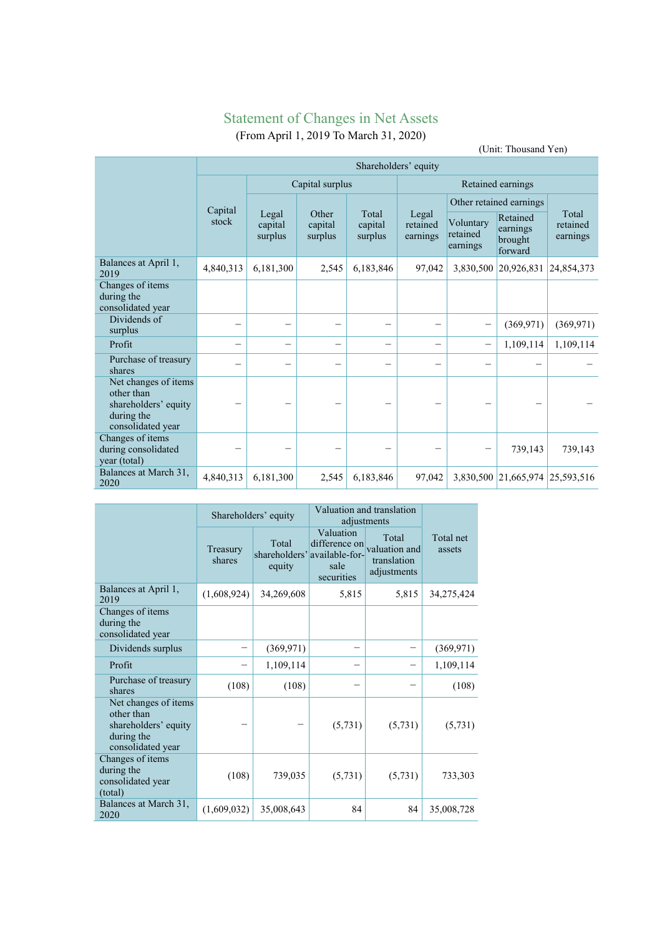# Statement of Changes in Net Assets

(From April 1, 2019 To March 31, 2020)

|                                                                                               | Shareholders' equity |                             |                             |                             |                               |                                   |                                            |                               |
|-----------------------------------------------------------------------------------------------|----------------------|-----------------------------|-----------------------------|-----------------------------|-------------------------------|-----------------------------------|--------------------------------------------|-------------------------------|
|                                                                                               |                      | Capital surplus             |                             |                             | Retained earnings             |                                   |                                            |                               |
|                                                                                               | Capital              |                             |                             |                             |                               | Other retained earnings           |                                            |                               |
|                                                                                               | stock                | Legal<br>capital<br>surplus | Other<br>capital<br>surplus | Total<br>capital<br>surplus | Legal<br>retained<br>earnings | Voluntary<br>retained<br>earnings | Retained<br>earnings<br>brought<br>forward | Total<br>retained<br>earnings |
| Balances at April 1,<br>2019                                                                  | 4,840,313            | 6,181,300                   | 2,545                       | 6,183,846                   | 97,042                        | 3,830,500                         | 20,926,831                                 | 24,854,373                    |
| Changes of items<br>during the<br>consolidated year                                           |                      |                             |                             |                             |                               |                                   |                                            |                               |
| Dividends of<br>surplus                                                                       |                      | -                           | -                           |                             |                               |                                   | (369, 971)                                 | (369, 971)                    |
| Profit                                                                                        | —                    |                             | $\qquad \qquad -$           | $\qquad \qquad -$           |                               |                                   | 1,109,114                                  | 1,109,114                     |
| Purchase of treasury<br>shares                                                                |                      |                             |                             |                             |                               |                                   |                                            |                               |
| Net changes of items<br>other than<br>shareholders' equity<br>during the<br>consolidated year |                      |                             | -                           |                             |                               |                                   |                                            |                               |
| Changes of items<br>during consolidated<br>year (total)                                       |                      | -                           | -                           |                             |                               | -                                 | 739,143                                    | 739,143                       |
| Balances at March 31,<br>2020                                                                 | 4,840,313            | 6,181,300                   | 2,545                       | 6,183,846                   | 97,042                        |                                   | 3,830,500 21,665,974                       | 25,593,516                    |

|                                                                                               | Shareholders' equity |                 | Valuation and translation<br>adjustments                                         |                                                      |                     |
|-----------------------------------------------------------------------------------------------|----------------------|-----------------|----------------------------------------------------------------------------------|------------------------------------------------------|---------------------|
|                                                                                               | Treasury<br>shares   | Total<br>equity | Valuation<br>difference on<br>shareholders' available-for-<br>sale<br>securities | Total<br>valuation and<br>translation<br>adjustments | Total net<br>assets |
| Balances at April 1,<br>2019                                                                  | (1,608,924)          | 34,269,608      | 5,815                                                                            | 5,815                                                | 34,275,424          |
| Changes of items<br>during the<br>consolidated year                                           |                      |                 |                                                                                  |                                                      |                     |
| Dividends surplus                                                                             |                      | (369, 971)      |                                                                                  |                                                      | (369, 971)          |
| Profit                                                                                        |                      | 1,109,114       |                                                                                  |                                                      | 1,109,114           |
| Purchase of treasury<br>shares                                                                | (108)                | (108)           |                                                                                  |                                                      | (108)               |
| Net changes of items<br>other than<br>shareholders' equity<br>during the<br>consolidated year |                      |                 | (5,731)                                                                          | (5,731)                                              | (5,731)             |
| Changes of items<br>during the<br>consolidated year<br>(total)                                | (108)                | 739,035         | (5,731)                                                                          | (5,731)                                              | 733,303             |
| Balances at March 31,<br>2020                                                                 | (1,609,032)          | 35,008,643      | 84                                                                               | 84                                                   | 35,008,728          |

(Unit: Thousand Yen)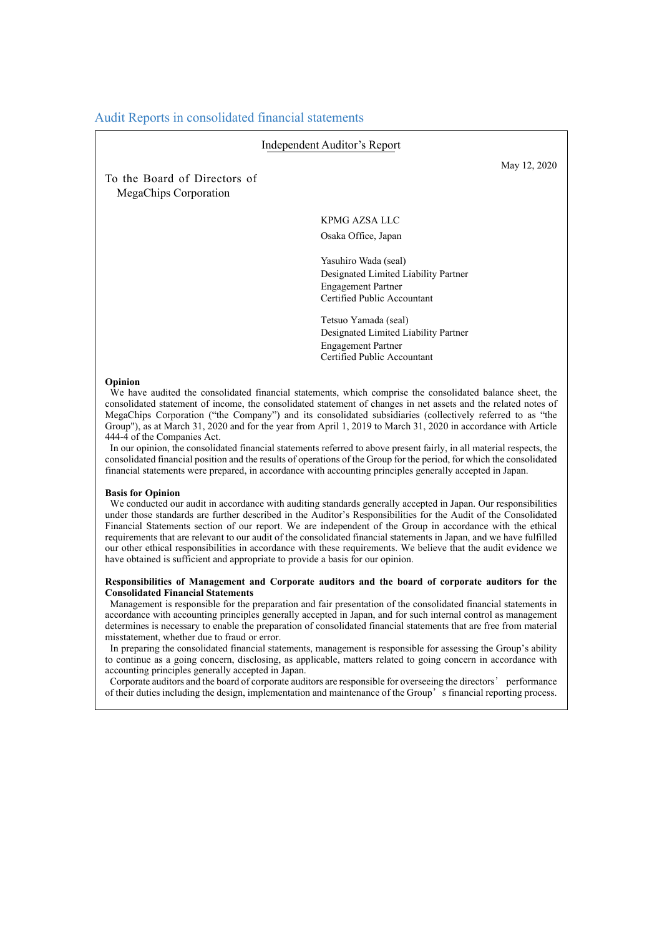# Audit Reports in consolidated financial statements

|                                                       | Independent Auditor's Report                                                                                             |              |
|-------------------------------------------------------|--------------------------------------------------------------------------------------------------------------------------|--------------|
| To the Board of Directors of<br>MegaChips Corporation |                                                                                                                          | May 12, 2020 |
|                                                       | KPMG AZSA LLC                                                                                                            |              |
|                                                       | Osaka Office, Japan                                                                                                      |              |
|                                                       | Yasuhiro Wada (seal)<br>Designated Limited Liability Partner<br><b>Engagement Partner</b><br>Certified Public Accountant |              |
|                                                       | Tetsuo Yamada (seal)<br>Designated Limited Liability Partner<br><b>Engagement Partner</b><br>Certified Public Accountant |              |
|                                                       |                                                                                                                          |              |

### **Opinion**

We have audited the consolidated financial statements, which comprise the consolidated balance sheet, the consolidated statement of income, the consolidated statement of changes in net assets and the related notes of MegaChips Corporation ("the Company") and its consolidated subsidiaries (collectively referred to as "the Group"), as at March 31, 2020 and for the year from April 1, 2019 to March 31, 2020 in accordance with Article 444-4 of the Companies Act.

In our opinion, the consolidated financial statements referred to above present fairly, in all material respects, the consolidated financial position and the results of operations of the Group for the period, for which the consolidated financial statements were prepared, in accordance with accounting principles generally accepted in Japan.

## **Basis for Opinion**

L

We conducted our audit in accordance with auditing standards generally accepted in Japan. Our responsibilities under those standards are further described in the Auditor's Responsibilities for the Audit of the Consolidated Financial Statements section of our report. We are independent of the Group in accordance with the ethical requirements that are relevant to our audit of the consolidated financial statements in Japan, and we have fulfilled our other ethical responsibilities in accordance with these requirements. We believe that the audit evidence we have obtained is sufficient and appropriate to provide a basis for our opinion.

#### **Responsibilities of Management and Corporate auditors and the board of corporate auditors for the Consolidated Financial Statements**

Management is responsible for the preparation and fair presentation of the consolidated financial statements in accordance with accounting principles generally accepted in Japan, and for such internal control as management determines is necessary to enable the preparation of consolidated financial statements that are free from material misstatement, whether due to fraud or error.

In preparing the consolidated financial statements, management is responsible for assessing the Group's ability to continue as a going concern, disclosing, as applicable, matters related to going concern in accordance with accounting principles generally accepted in Japan.

Corporate auditors and the board of corporate auditors are responsible for overseeing the directors' performance of their duties including the design, implementation and maintenance of the Group's financial reporting process.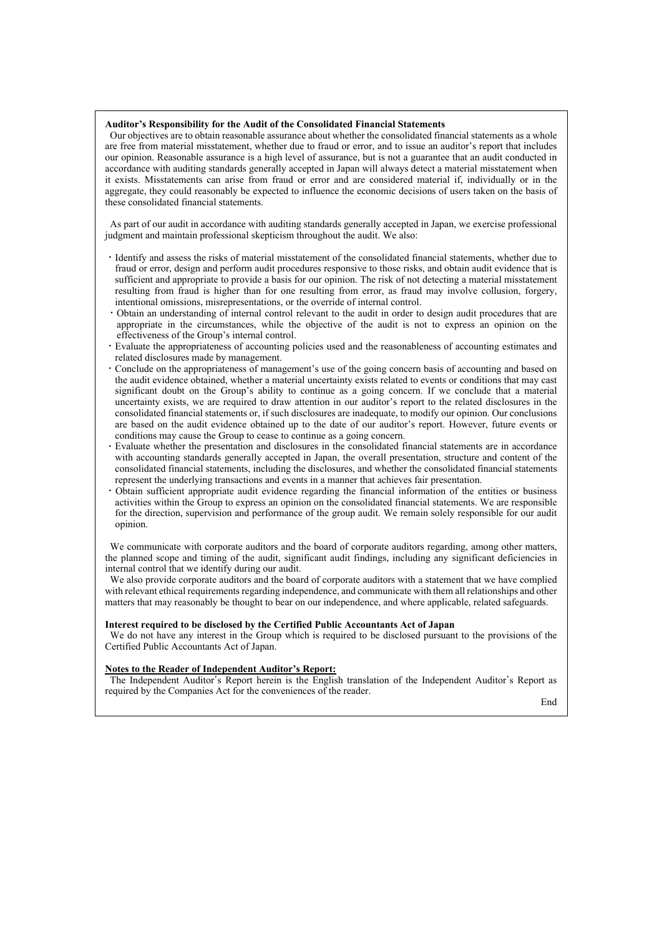#### **Auditor's Responsibility for the Audit of the Consolidated Financial Statements**

Our objectives are to obtain reasonable assurance about whether the consolidated financial statements as a whole are free from material misstatement, whether due to fraud or error, and to issue an auditor's report that includes our opinion. Reasonable assurance is a high level of assurance, but is not a guarantee that an audit conducted in accordance with auditing standards generally accepted in Japan will always detect a material misstatement when it exists. Misstatements can arise from fraud or error and are considered material if, individually or in the aggregate, they could reasonably be expected to influence the economic decisions of users taken on the basis of these consolidated financial statements.

As part of our audit in accordance with auditing standards generally accepted in Japan, we exercise professional judgment and maintain professional skepticism throughout the audit. We also:

- ・Identify and assess the risks of material misstatement of the consolidated financial statements, whether due to fraud or error, design and perform audit procedures responsive to those risks, and obtain audit evidence that is sufficient and appropriate to provide a basis for our opinion. The risk of not detecting a material misstatement resulting from fraud is higher than for one resulting from error, as fraud may involve collusion, forgery, intentional omissions, misrepresentations, or the override of internal control.
- ・Obtain an understanding of internal control relevant to the audit in order to design audit procedures that are appropriate in the circumstances, while the objective of the audit is not to express an opinion on the effectiveness of the Group's internal control.
- ・Evaluate the appropriateness of accounting policies used and the reasonableness of accounting estimates and related disclosures made by management.
- ・Conclude on the appropriateness of management's use of the going concern basis of accounting and based on the audit evidence obtained, whether a material uncertainty exists related to events or conditions that may cast significant doubt on the Group's ability to continue as a going concern. If we conclude that a material uncertainty exists, we are required to draw attention in our auditor's report to the related disclosures in the consolidated financial statements or, if such disclosures are inadequate, to modify our opinion. Our conclusions are based on the audit evidence obtained up to the date of our auditor's report. However, future events or conditions may cause the Group to cease to continue as a going concern.
- ・Evaluate whether the presentation and disclosures in the consolidated financial statements are in accordance with accounting standards generally accepted in Japan, the overall presentation, structure and content of the consolidated financial statements, including the disclosures, and whether the consolidated financial statements represent the underlying transactions and events in a manner that achieves fair presentation.
- Obtain sufficient appropriate audit evidence regarding the financial information of the entities or business activities within the Group to express an opinion on the consolidated financial statements. We are responsible for the direction, supervision and performance of the group audit. We remain solely responsible for our audit opinion.

We communicate with corporate auditors and the board of corporate auditors regarding, among other matters, the planned scope and timing of the audit, significant audit findings, including any significant deficiencies in internal control that we identify during our audit.

We also provide corporate auditors and the board of corporate auditors with a statement that we have complied with relevant ethical requirements regarding independence, and communicate with them all relationships and other matters that may reasonably be thought to bear on our independence, and where applicable, related safeguards.

## **Interest required to be disclosed by the Certified Public Accountants Act of Japan**

We do not have any interest in the Group which is required to be disclosed pursuant to the provisions of the Certified Public Accountants Act of Japan.

#### **Notes to the Reader of Independent Auditor's Report:**

L

The Independent Auditor's Report herein is the English translation of the Independent Auditor's Report as required by the Companies Act for the conveniences of the reader.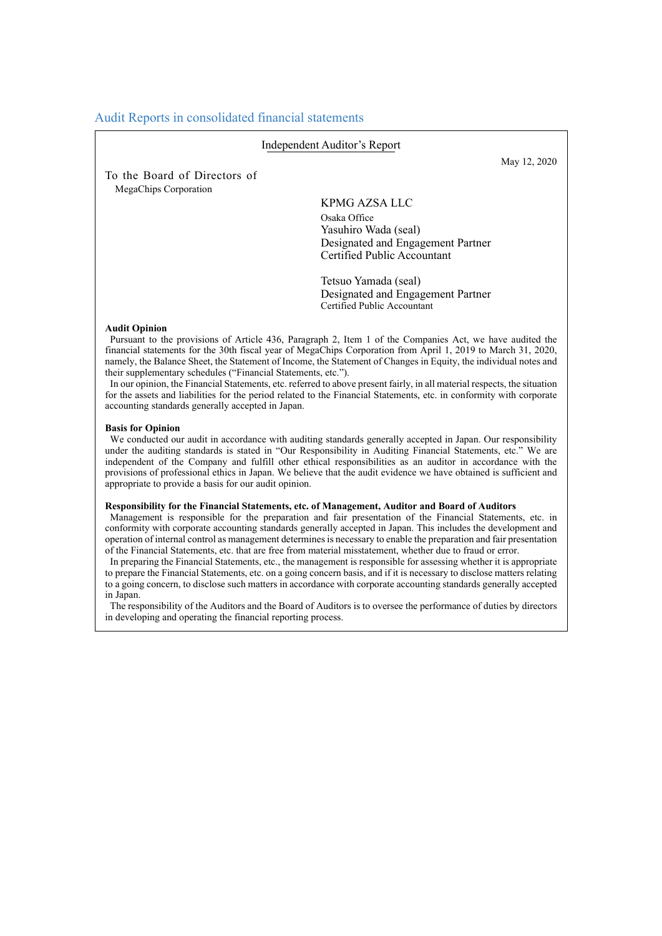# Audit Reports in consolidated financial statements

## Independent Auditor's Report

To the Board of Directors of MegaChips Corporation

May 12, 2020

# KPMG AZSA LLC

Osaka Office Yasuhiro Wada (seal) Designated and Engagement Partner Certified Public Accountant

Tetsuo Yamada (seal) Designated and Engagement Partner Certified Public Accountant

#### **Audit Opinion**

Pursuant to the provisions of Article 436, Paragraph 2, Item 1 of the Companies Act, we have audited the financial statements for the 30th fiscal year of MegaChips Corporation from April 1, 2019 to March 31, 2020, namely, the Balance Sheet, the Statement of Income, the Statement of Changes in Equity, the individual notes and their supplementary schedules ("Financial Statements, etc.").

In our opinion, the Financial Statements, etc. referred to above present fairly, in all material respects, the situation for the assets and liabilities for the period related to the Financial Statements, etc. in conformity with corporate accounting standards generally accepted in Japan.

## **Basis for Opinion**

L

We conducted our audit in accordance with auditing standards generally accepted in Japan. Our responsibility under the auditing standards is stated in "Our Responsibility in Auditing Financial Statements, etc." We are independent of the Company and fulfill other ethical responsibilities as an auditor in accordance with the provisions of professional ethics in Japan. We believe that the audit evidence we have obtained is sufficient and appropriate to provide a basis for our audit opinion.

## **Responsibility for the Financial Statements, etc. of Management, Auditor and Board of Auditors**

Management is responsible for the preparation and fair presentation of the Financial Statements, etc. in conformity with corporate accounting standards generally accepted in Japan. This includes the development and operation of internal control as management determines is necessary to enable the preparation and fair presentation of the Financial Statements, etc. that are free from material misstatement, whether due to fraud or error.

In preparing the Financial Statements, etc., the management is responsible for assessing whether it is appropriate to prepare the Financial Statements, etc. on a going concern basis, and if it is necessary to disclose matters relating to a going concern, to disclose such matters in accordance with corporate accounting standards generally accepted in Japan.

The responsibility of the Auditors and the Board of Auditors is to oversee the performance of duties by directors in developing and operating the financial reporting process.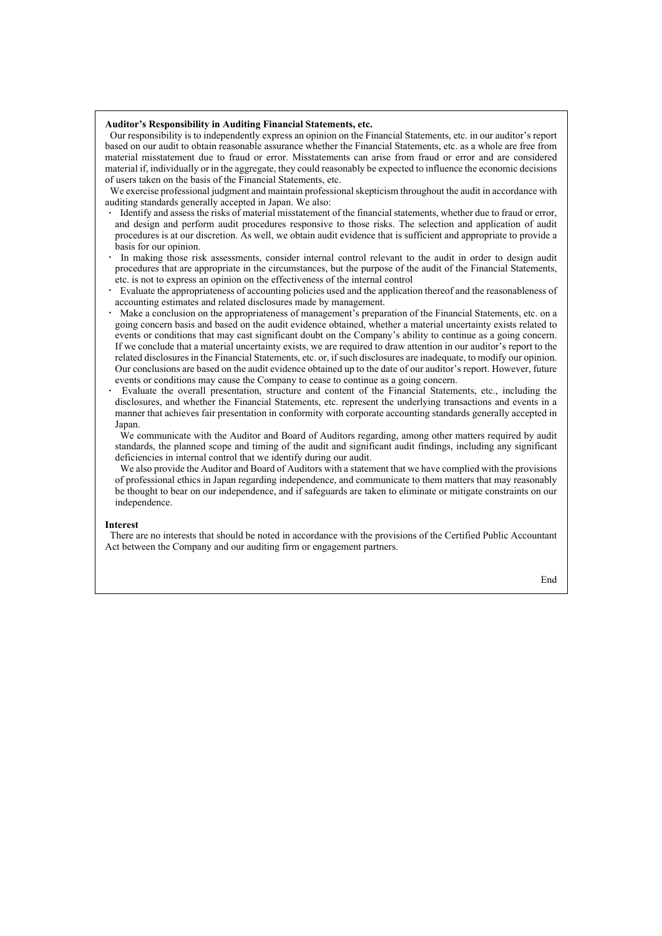#### **Auditor's Responsibility in Auditing Financial Statements, etc.**

Our responsibility is to independently express an opinion on the Financial Statements, etc. in our auditor's report based on our audit to obtain reasonable assurance whether the Financial Statements, etc. as a whole are free from material misstatement due to fraud or error. Misstatements can arise from fraud or error and are considered material if, individually or in the aggregate, they could reasonably be expected to influence the economic decisions of users taken on the basis of the Financial Statements, etc.

We exercise professional judgment and maintain professional skepticism throughout the audit in accordance with auditing standards generally accepted in Japan. We also:

- ・ Identify and assess the risks of material misstatement of the financial statements, whether due to fraud or error, and design and perform audit procedures responsive to those risks. The selection and application of audit procedures is at our discretion. As well, we obtain audit evidence that is sufficient and appropriate to provide a basis for our opinion.
- In making those risk assessments, consider internal control relevant to the audit in order to design audit procedures that are appropriate in the circumstances, but the purpose of the audit of the Financial Statements, etc. is not to express an opinion on the effectiveness of the internal control
- Evaluate the appropriateness of accounting policies used and the application thereof and the reasonableness of accounting estimates and related disclosures made by management.
- ・ Make a conclusion on the appropriateness of management's preparation of the Financial Statements, etc. on a going concern basis and based on the audit evidence obtained, whether a material uncertainty exists related to events or conditions that may cast significant doubt on the Company's ability to continue as a going concern. If we conclude that a material uncertainty exists, we are required to draw attention in our auditor's report to the related disclosures in the Financial Statements, etc. or, if such disclosures are inadequate, to modify our opinion. Our conclusions are based on the audit evidence obtained up to the date of our auditor's report. However, future events or conditions may cause the Company to cease to continue as a going concern.
- Evaluate the overall presentation, structure and content of the Financial Statements, etc., including the disclosures, and whether the Financial Statements, etc. represent the underlying transactions and events in a manner that achieves fair presentation in conformity with corporate accounting standards generally accepted in Japan.

 We communicate with the Auditor and Board of Auditors regarding, among other matters required by audit standards, the planned scope and timing of the audit and significant audit findings, including any significant deficiencies in internal control that we identify during our audit.

 We also provide the Auditor and Board of Auditors with a statement that we have complied with the provisions of professional ethics in Japan regarding independence, and communicate to them matters that may reasonably be thought to bear on our independence, and if safeguards are taken to eliminate or mitigate constraints on our independence.

#### **Interest**

I.

There are no interests that should be noted in accordance with the provisions of the Certified Public Accountant Act between the Company and our auditing firm or engagement partners.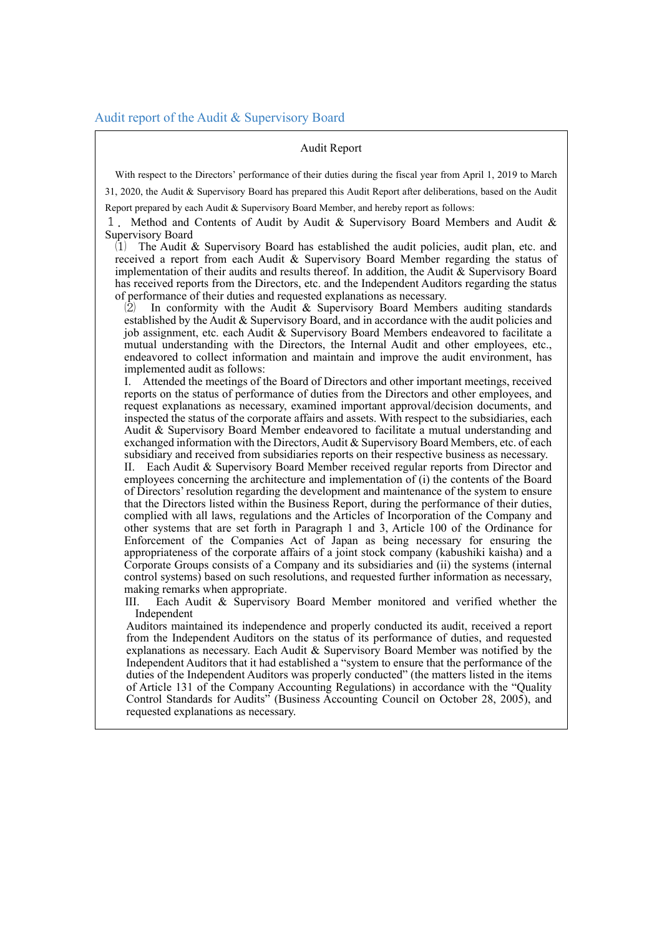L

## Audit Report

With respect to the Directors' performance of their duties during the fiscal year from April 1, 2019 to March 31, 2020, the Audit & Supervisory Board has prepared this Audit Report after deliberations, based on the Audit

Report prepared by each Audit & Supervisory Board Member, and hereby report as follows:

1. Method and Contents of Audit by Audit & Supervisory Board Members and Audit & Supervisory Board

⑴ The Audit & Supervisory Board has established the audit policies, audit plan, etc. and received a report from each Audit & Supervisory Board Member regarding the status of implementation of their audits and results thereof. In addition, the Audit & Supervisory Board has received reports from the Directors, etc. and the Independent Auditors regarding the status of performance of their duties and requested explanations as necessary.

⑵ In conformity with the Audit & Supervisory Board Members auditing standards established by the Audit & Supervisory Board, and in accordance with the audit policies and job assignment, etc. each Audit & Supervisory Board Members endeavored to facilitate a mutual understanding with the Directors, the Internal Audit and other employees, etc., endeavored to collect information and maintain and improve the audit environment, has implemented audit as follows:

 I. Attended the meetings of the Board of Directors and other important meetings, received reports on the status of performance of duties from the Directors and other employees, and request explanations as necessary, examined important approval/decision documents, and inspected the status of the corporate affairs and assets. With respect to the subsidiaries, each Audit & Supervisory Board Member endeavored to facilitate a mutual understanding and exchanged information with the Directors, Audit & Supervisory Board Members, etc. of each subsidiary and received from subsidiaries reports on their respective business as necessary.

II. Each Audit & Supervisory Board Member received regular reports from Director and employees concerning the architecture and implementation of (i) the contents of the Board of Directors' resolution regarding the development and maintenance of the system to ensure that the Directors listed within the Business Report, during the performance of their duties, complied with all laws, regulations and the Articles of Incorporation of the Company and other systems that are set forth in Paragraph 1 and 3, Article 100 of the Ordinance for Enforcement of the Companies Act of Japan as being necessary for ensuring the appropriateness of the corporate affairs of a joint stock company (kabushiki kaisha) and a Corporate Groups consists of a Company and its subsidiaries and (ii) the systems (internal control systems) based on such resolutions, and requested further information as necessary, making remarks when appropriate.

III. Each Audit & Supervisory Board Member monitored and verified whether the Independent

Auditors maintained its independence and properly conducted its audit, received a report from the Independent Auditors on the status of its performance of duties, and requested explanations as necessary. Each Audit & Supervisory Board Member was notified by the Independent Auditors that it had established a "system to ensure that the performance of the duties of the Independent Auditors was properly conducted" (the matters listed in the items of Article 131 of the Company Accounting Regulations) in accordance with the "Quality Control Standards for Audits" (Business Accounting Council on October 28, 2005), and requested explanations as necessary.